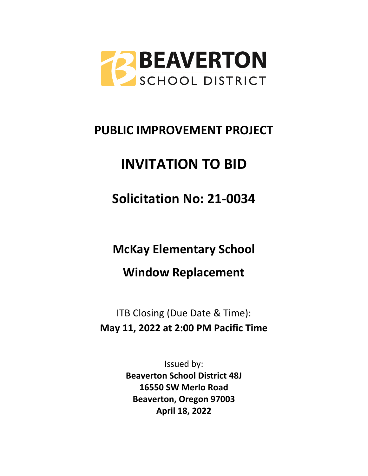

# **PUBLIC IMPROVEMENT PROJECT**

# **INVITATION TO BID**

**Solicitation No: 21-0034**

**McKay Elementary School**

**Window Replacement**

ITB Closing (Due Date & Time): **May 11, 2022 at 2:00 PM Pacific Time**

> Issued by: **Beaverton School District 48J 16550 SW Merlo Road Beaverton, Oregon 97003 April 18, 2022**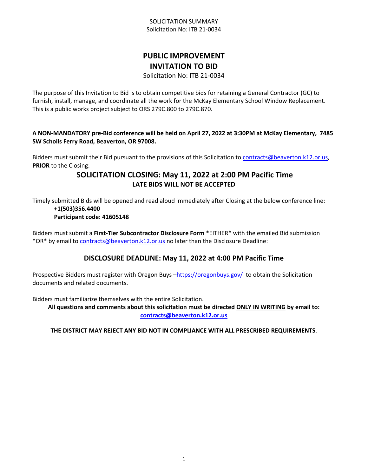## SOLICITATION SUMMARY Solicitation No: ITB 21-0034

# **PUBLIC IMPROVEMENT INVITATION TO BID**

Solicitation No: ITB 21-0034

The purpose of this Invitation to Bid is to obtain competitive bids for retaining a General Contractor (GC) to furnish, install, manage, and coordinate all the work for the McKay Elementary School Window Replacement. This is a public works project subject to ORS 279C.800 to 279C.870.

**A NON-MANDATORY pre-Bid conference will be held on April 27, 2022 at 3:30PM at McKay Elementary, 7485 SW Scholls Ferry Road, Beaverton, OR 97008.** 

Bidders must submit their Bid pursuant to the provisions of this Solicitation to [contracts@beaverton.k12.or.us,](mailto:contracts@beaverton.k12.or.us) **PRIOR** to the Closing:

# **SOLICITATION CLOSING: May 11, 2022 at 2:00 PM Pacific Time LATE BIDS WILL NOT BE ACCEPTED**

Timely submitted Bids will be opened and read aloud immediately after Closing at the below conference line: **+1(503)356.4400**

## **Participant code: 41605148**

Bidders must submit a **First-Tier Subcontractor Disclosure Form** \*EITHER\* with the emailed Bid submission \*OR\* by email to [contracts@beaverton.k12.or.us](mailto:contracts@beaverton.k12.or.us) no later than the Disclosure Deadline:

## **DISCLOSURE DEADLINE: May 11, 2022 at 4:00 PM Pacific Time**

Prospective Bidders must register with Oregon Buys -<https://oregonbuys.gov/>to obtain the Solicitation documents and related documents.

Bidders must familiarize themselves with the entire Solicitation.

**All questions and comments about this solicitation must be directed ONLY IN WRITING by email to: [contracts@beaverton.k12.or.us](mailto:contracts@beaverton.k12.or.us)**

## **THE DISTRICT MAY REJECT ANY BID NOT IN COMPLIANCE WITH ALL PRESCRIBED REQUIREMENTS**.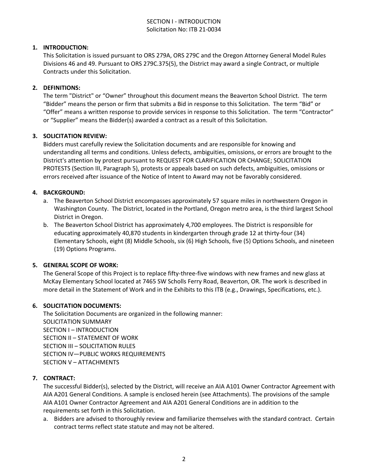## SECTION I - INTRODUCTION Solicitation No: ITB 21-0034

## **1. INTRODUCTION:**

This Solicitation is issued pursuant to ORS 279A, ORS 279C and the Oregon Attorney General Model Rules Divisions 46 and 49. Pursuant to ORS 279C.375(5), the District may award a single Contract, or multiple Contracts under this Solicitation.

#### **2. DEFINITIONS:**

The term "District" or "Owner" throughout this document means the Beaverton School District. The term "Bidder" means the person or firm that submits a Bid in response to this Solicitation. The term "Bid" or "Offer" means a written response to provide services in response to this Solicitation. The term "Contractor" or "Supplier" means the Bidder(s) awarded a contract as a result of this Solicitation.

#### **3. SOLICITATION REVIEW:**

Bidders must carefully review the Solicitation documents and are responsible for knowing and understanding all terms and conditions. Unless defects, ambiguities, omissions, or errors are brought to the District's attention by protest pursuant to REQUEST FOR CLARIFICATION OR CHANGE; SOLICITATION PROTESTS (Section III, Paragraph 5), protests or appeals based on such defects, ambiguities, omissions or errors received after issuance of the Notice of Intent to Award may not be favorably considered.

## **4. BACKGROUND:**

- a. The Beaverton School District encompasses approximately 57 square miles in northwestern Oregon in Washington County. The District, located in the Portland, Oregon metro area, is the third largest School District in Oregon.
- b. The Beaverton School District has approximately 4,700 employees. The District is responsible for educating approximately 40,870 students in kindergarten through grade 12 at thirty-four (34) Elementary Schools, eight (8) Middle Schools, six (6) High Schools, five (5) Options Schools, and nineteen (19) Options Programs.

#### **5. GENERAL SCOPE OF WORK:**

The General Scope of this Project is to replace fifty-three-five windows with new frames and new glass at McKay Elementary School located at 7465 SW Scholls Ferry Road, Beaverton, OR. The work is described in more detail in the Statement of Work and in the Exhibits to this ITB (e.g., Drawings, Specifications, etc.).

#### **6. SOLICITATION DOCUMENTS:**

The Solicitation Documents are organized in the following manner: SOLICITATION SUMMARY SECTION I – INTRODUCTION SECTION II – STATEMENT OF WORK SECTION III – SOLICITATION RULES SECTION IV—PUBLIC WORKS REQUIREMENTS SECTION V – ATTACHMENTS

#### **7. CONTRACT:**

The successful Bidder(s), selected by the District, will receive an AIA A101 Owner Contractor Agreement with AIA A201 General Conditions. A sample is enclosed herein (see Attachments). The provisions of the sample AIA A101 Owner Contractor Agreement and AIA A201 General Conditions are in addition to the requirements set forth in this Solicitation.

a. Bidders are advised to thoroughly review and familiarize themselves with the standard contract. Certain contract terms reflect state statute and may not be altered.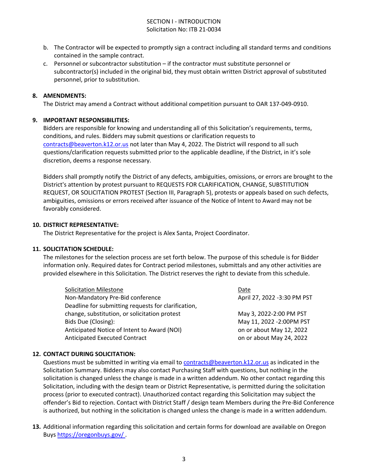## SECTION I - INTRODUCTION Solicitation No: ITB 21-0034

- b. The Contractor will be expected to promptly sign a contract including all standard terms and conditions contained in the sample contract.
- c. Personnel or subcontractor substitution if the contractor must substitute personnel or subcontractor(s) included in the original bid, they must obtain written District approval of substituted personnel, prior to substitution.

#### **8. AMENDMENTS:**

The District may amend a Contract without additional competition pursuant to OAR 137-049-0910.

#### **9. IMPORTANT RESPONSIBILITIES:**

Bidders are responsible for knowing and understanding all of this Solicitation's requirements, terms, conditions, and rules. Bidders may submit questions or clarification requests to [contracts@beaverton.k12.or.us](mailto:contracts@beaverton.k12.or.us) not later than May 4, 2022. The District will respond to all such questions/clarification requests submitted prior to the applicable deadline, if the District, in it's sole discretion, deems a response necessary.

Bidders shall promptly notify the District of any defects, ambiguities, omissions, or errors are brought to the District's attention by protest pursuant to REQUESTS FOR CLARIFICATION, CHANGE, SUBSTITUTION REQUEST, OR SOLICITATION PROTEST (Section III, Paragraph 5), protests or appeals based on such defects, ambiguities, omissions or errors received after issuance of the Notice of Intent to Award may not be favorably considered.

#### **10. DISTRICT REPRESENTATIVE:**

The District Representative for the project is Alex Santa, Project Coordinator.

#### **11. SOLICITATION SCHEDULE:**

The milestones for the selection process are set forth below. The purpose of this schedule is for Bidder information only. Required dates for Contract period milestones, submittals and any other activities are provided elsewhere in this Solicitation. The District reserves the right to deviate from this schedule.

| <b>Solicitation Milestone</b>                       | Date                        |
|-----------------------------------------------------|-----------------------------|
| Non-Mandatory Pre-Bid conference                    | April 27, 2022 -3:30 PM PST |
| Deadline for submitting requests for clarification, |                             |
| change, substitution, or solicitation protest       | May 3, 2022-2:00 PM PST     |
| Bids Due (Closing):                                 | May 11, 2022 -2:00PM PST    |
| Anticipated Notice of Intent to Award (NOI)         | on or about May 12, 2022    |
| Anticipated Executed Contract                       | on or about May 24, 2022    |

#### **12. CONTACT DURING SOLICITATION:**

Questions must be submitted in writing via email to [contracts@beaverton.k12.or.us](mailto:contracts@beaverton.k12.or.us) as indicated in the Solicitation Summary. Bidders may also contact Purchasing Staff with questions, but nothing in the solicitation is changed unless the change is made in a written addendum. No other contact regarding this Solicitation, including with the design team or District Representative, is permitted during the solicitation process (prior to executed contract). Unauthorized contact regarding this Solicitation may subject the offender's Bid to rejection. Contact with District Staff / design team Members during the Pre-Bid Conference is authorized, but nothing in the solicitation is changed unless the change is made in a written addendum.

**13.** Additional information regarding this solicitation and certain forms for download are available on Oregon Buys <https://oregonbuys.gov/> .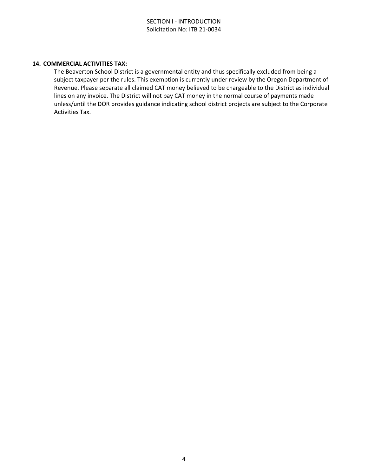#### **14. COMMERCIAL ACTIVITIES TAX:**

The Beaverton School District is a governmental entity and thus specifically excluded from being a subject taxpayer per the rules. This exemption is currently under review by the Oregon Department of Revenue. Please separate all claimed CAT money believed to be chargeable to the District as individual lines on any invoice. The District will not pay CAT money in the normal course of payments made unless/until the DOR provides guidance indicating school district projects are subject to the Corporate Activities Tax.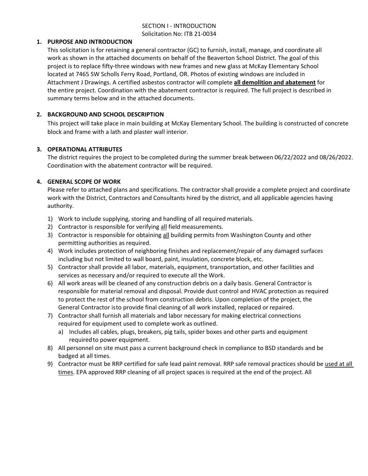## SECTION I - INTRODUCTION Solicitation No: ITB 21-0034

#### **1. PURPOSE AND INTRODUCTION**

This solicitation is for retaining a general contractor (GC) to furnish, install, manage, and coordinate all work as shown in the attached documents on behalf of the Beaverton School District. The goal of this project is to replace fifty-three windows with new frames and new glass at McKay Elementary School located at 7465 SW Scholls Ferry Road, Portland, OR. Photos of existing windows are included in Attachment J Drawings. A certified asbestos contractor will complete **all demolition and abatement** for the entire project. Coordination with the abatement contractor is required. The full project is described in summary terms below and in the attached documents.

## **2. BACKGROUND AND SCHOOL DESCRIPTION**

This project will take place in main building at McKay Elementary School. The building is constructed of concrete block and frame with a lath and plaster wall interior.

## **3. OPERATIONAL ATTRIBUTES**

The district requires the project to be completed during the summer break between 06/22/2022 and 08/26/2022. Coordination with the abatement contractor will be required.

## **4. GENERAL SCOPE OF WORK**

Please refer to attached plans and specifications. The contractor shall provide a complete project and coordinate work with the District, Contractors and Consultants hired by the district, and all applicable agencies having authority.

- 1) Work to include supplying, storing and handling of all required materials.
- 2) Contractor is responsible for verifying all field measurements.
- 3) Contractor is responsible for obtaining all building permits from Washington County and other permitting authorities as required.
- 4) Work includes protection of neighboring finishes and replacement/repair of any damaged surfaces including but not limited to wall board, paint, insulation, concrete block, etc.
- 5) Contractor shall provide all labor, materials, equipment, transportation, and other facilities and services as necessary and/or required to execute all the Work.
- 6) All work areas will be cleaned of any construction debris on a daily basis. General Contractor is responsible for material removal and disposal. Provide dust control and HVAC protection as required to protect the rest of the school from construction debris. Upon completion of the project, the General Contractor isto provide final cleaning of all work installed, replaced or repaired.
- 7) Contractor shall furnish all materials and labor necessary for making electrical connections required for equipment used to complete work as outlined.
	- a) Includes all cables, plugs, breakers, pig tails, spider boxes and other parts and equipment required to power equipment.
- 8) All personnel on site must pass a current background check in compliance to BSD standards and be badged at all times.
- 9) Contractor must be RRP certified for safe lead paint removal. RRP safe removal practices should be used at all times. EPA approved RRP cleaning of all project spaces is required at the end of the project. All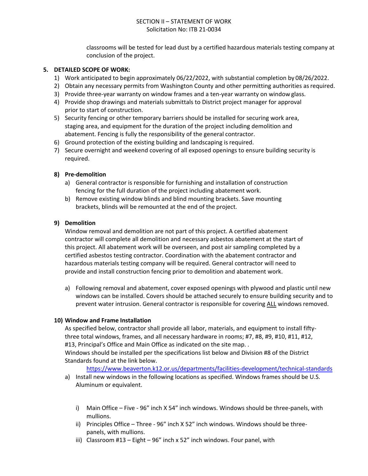## SECTION II – STATEMENT OF WORK Solicitation No: ITB 21-0034

classrooms will be tested for lead dust by a certified hazardous materials testing company at conclusion of the project.

#### **5. DETAILED SCOPE OF WORK:**

- 1) Work anticipated to begin approximately 06/22/2022, with substantial completion by 08/26/2022.
- 2) Obtain any necessary permits from Washington County and other permitting authorities as required.
- 3) Provide three-year warranty on window frames and a ten-year warranty on window glass.
- 4) Provide shop drawings and materials submittals to District project manager for approval prior to start of construction.
- 5) Security fencing or other temporary barriers should be installed for securing work area, staging area, and equipment for the duration of the project including demolition and abatement. Fencing is fully the responsibility of the general contractor.
- 6) Ground protection of the existing building and landscaping is required.
- 7) Secure overnight and weekend covering of all exposed openings to ensure building security is required.

## **8) Pre-demolition**

- a) General contractor is responsible for furnishing and installation of construction fencing for the full duration of the project including abatement work.
- b) Remove existing window blinds and blind mounting brackets. Save mounting brackets, blinds will be remounted at the end of the project.

## **9) Demolition**

Window removal and demolition are not part of this project. A certified abatement contractor will complete all demolition and necessary asbestos abatement at the start of this project. All abatement work will be overseen, and post air sampling completed by a certified asbestos testing contractor. Coordination with the abatement contractor and hazardous materials testing company will be required. General contractor will need to provide and install construction fencing prior to demolition and abatement work.

a) Following removal and abatement, cover exposed openings with plywood and plastic until new windows can be installed. Covers should be attached securely to ensure building security and to prevent water intrusion. General contractor is responsible for covering ALL windows removed.

#### **10) Window and Frame Installation**

As specified below, contractor shall provide all labor, materials, and equipment to install fiftythree total windows, frames, and all necessary hardware in rooms; #7, #8, #9, #10, #11, #12, #13, Principal's Office and Main Office as indicated on the site map. .

Windows should be installed per the specifications list below and Division #8 of the District Standards found at the link below.

<https://www.beaverton.k12.or.us/departments/facilities-development/technical-standards>

- a) Install new windows in the following locations as specified. Windows frames should be U.S. Aluminum or equivalent.
	- i) Main Office Five 96" inch X 54" inch windows. Windows should be three-panels, with mullions.
	- ii) Principles Office Three 96" inch X 52" inch windows. Windows should be threepanels, with mullions.
	- iii) Classroom  $#13 -$  Eight  $-96$ " inch x 52" inch windows. Four panel, with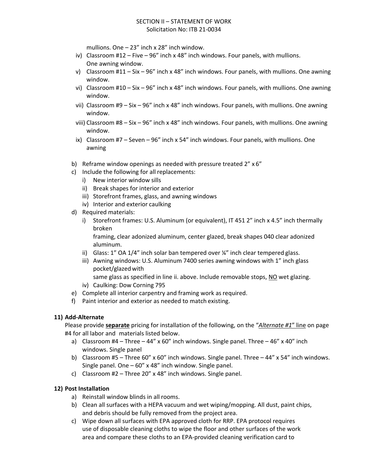mullions. One – 23" inch x 28" inch window.

- iv) Classroom #12 Five 96" inch x 48" inch windows. Four panels, with mullions. One awning window.
- v) Classroom #11 Six 96" inch x 48" inch windows. Four panels, with mullions. One awning window.
- vi) Classroom #10 Six 96" inch x 48" inch windows. Four panels, with mullions. One awning window.
- vii) Classroom  $#9 Six 96"$  inch x 48" inch windows. Four panels, with mullions. One awning window.
- viii) Classroom #8 Six 96" inch x 48" inch windows. Four panels, with mullions. One awning window.
- ix) Classroom #7 Seven 96" inch x 54" inch windows. Four panels, with mullions. One awning
- b) Reframe window openings as needed with pressure treated 2" x 6"
- c) Include the following for all replacements:
	- i) New interior window sills
	- ii) Break shapes for interior and exterior
	- iii) Storefront frames, glass, and awning windows
	- iv) Interior and exterior caulking
- d) Required materials:
	- i) Storefront frames: U.S. Aluminum (or equivalent), IT 451 2" inch x 4.5" inch thermally broken

framing, clear adonized aluminum, center glazed, break shapes 040 clear adonized aluminum.

- ii) Glass:  $1''$  OA  $1/4''$  inch solar ban tempered over  $\frac{1}{4}''$  inch clear tempered glass.
- iii) Awning windows: U.S. Aluminum 7400 series awning windows with 1" inch glass pocket/glazed with
	- same glass as specified in line ii. above. Include removable stops, NO wet glazing.
- iv) Caulking: Dow Corning 795
- e) Complete all interior carpentry and framing work as required.
- f) Paint interior and exterior as needed to match existing.

## **11) Add-Alternate**

Please provide **separate** pricing for installation of the following, on the "*Alternate #1*" line on page #4 for all labor and materials listed below.

- a) Classroom  $#4 Three 44" \times 60"$  inch windows. Single panel. Three  $-46" \times 40"$  inch windows. Single panel
- b) Classroom #5 Three 60" x 60" inch windows. Single panel. Three 44" x 54" inch windows. Single panel. One – 60" x 48" inch window. Single panel.
- c) Classroom #2 Three 20" x 48" inch windows. Single panel.

## **12) Post Installation**

- a) Reinstall window blinds in all rooms.
- b) Clean all surfaces with a HEPA vacuum and wet wiping/mopping. All dust, paint chips, and debris should be fully removed from the project area.
- c) Wipe down all surfaces with EPA approved cloth for RRP. EPA protocol requires use of disposable cleaning cloths to wipe the floor and other surfaces of the work area and compare these cloths to an EPA-provided cleaning verification card to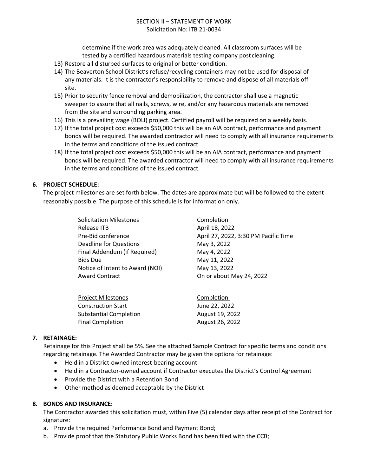## SECTION II – STATEMENT OF WORK Solicitation No: ITB 21-0034

determine if the work area was adequately cleaned. All classroom surfaces will be tested by a certified hazardous materials testing company post cleaning.

- 13) Restore all disturbed surfaces to original or better condition.
- 14) The Beaverton School District's refuse/recycling containers may not be used for disposal of any materials. It is the contractor's responsibility to remove and dispose of all materials offsite.
- 15) Prior to security fence removal and demobilization, the contractor shall use a magnetic sweeper to assure that all nails, screws, wire, and/or any hazardous materials are removed from the site and surrounding parking area.
- 16) This is a prevailing wage (BOLI) project. Certified payroll will be required on a weekly basis.
- 17) If the total project cost exceeds \$50,000 this will be an AIA contract, performance and payment bonds will be required. The awarded contractor will need to comply with all insurance requirements in the terms and conditions of the issued contract.
- 18) If the total project cost exceeds \$50,000 this will be an AIA contract, performance and payment bonds will be required. The awarded contractor will need to comply with all insurance requirements in the terms and conditions of the issued contract.

#### **6. PROJECT SCHEDULE:**

The project milestones are set forth below. The dates are approximate but will be followed to the extent reasonably possible. The purpose of this schedule is for information only.

> Solicitation Milestones **Completion** Release ITB April 18, 2022 Deadline for Questions May 3, 2022 Final Addendum (if Required) May 4, 2022 Bids Due May 11, 2022 Notice of Intent to Award (NOI) May 13, 2022 Award Contract **Contract** Conservation Conservation Conservation Conservation Conservation Conservation Conservation Conservation Conservation Conservation Conservation Conservation Conservation Conservation Conservation C

Pre-Bid conference April 27, 2022, 3:30 PM Pacific Time

| Project Milestones            | Completion      |
|-------------------------------|-----------------|
| Construction Start            | June 22, 2022   |
| <b>Substantial Completion</b> | August 19, 2022 |
| Final Completion              | August 26, 2022 |

## **7. RETAINAGE:**

Retainage for this Project shall be 5%. See the attached Sample Contract for specific terms and conditions regarding retainage. The Awarded Contractor may be given the options for retainage:

- Held in a District-owned interest-bearing account
- Held in a Contractor-owned account if Contractor executes the District's Control Agreement
- Provide the District with a Retention Bond
- Other method as deemed acceptable by the District

#### **8. BONDS AND INSURANCE:**

The Contractor awarded this solicitation must, within Five (5) calendar days after receipt of the Contract for signature:

- a. Provide the required Performance Bond and Payment Bond;
- b. Provide proof that the Statutory Public Works Bond has been filed with the CCB;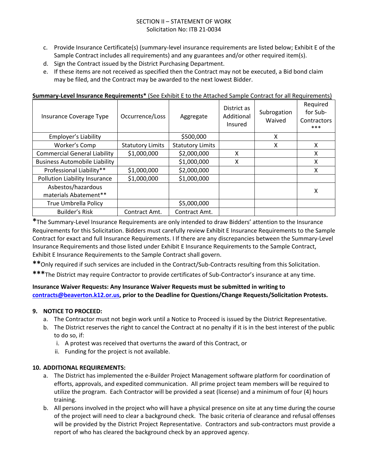## SECTION II – STATEMENT OF WORK Solicitation No: ITB 21-0034

- c. Provide Insurance Certificate(s) (summary-level insurance requirements are listed below; Exhibit E of the Sample Contract includes all requirements) and any guarantees and/or other required item(s).
- d. Sign the Contract issued by the District Purchasing Department.
- e. If these items are not received as specified then the Contract may not be executed, a Bid bond claim may be filed, and the Contract may be awarded to the next lowest Bidder.

| Insurance Coverage Type                     | Occurrence/Loss         | Aggregate               | District as<br>Additional<br>Insured | Subrogation<br>Waived | Required<br>for Sub-<br>Contractors<br>*** |
|---------------------------------------------|-------------------------|-------------------------|--------------------------------------|-----------------------|--------------------------------------------|
| Employer's Liability                        |                         | \$500,000               |                                      | X                     |                                            |
| Worker's Comp                               | <b>Statutory Limits</b> | <b>Statutory Limits</b> |                                      | X                     | X                                          |
| <b>Commercial General Liability</b>         | \$1,000,000             | \$2,000,000             | Χ                                    |                       | X                                          |
| <b>Business Automobile Liability</b>        |                         | \$1,000,000             | Χ                                    |                       | X                                          |
| Professional Liability**                    | \$1,000,000             | \$2,000,000             |                                      |                       | X                                          |
| Pollution Liability Insurance               | \$1,000,000             | \$1,000,000             |                                      |                       |                                            |
| Asbestos/hazardous<br>materials Abatement** |                         |                         |                                      |                       | Χ                                          |
| <b>True Umbrella Policy</b>                 |                         | \$5,000,000             |                                      |                       |                                            |
| <b>Builder's Risk</b>                       | Contract Amt.           | Contract Amt.           |                                      |                       |                                            |

#### **Summary-Level Insurance Requirements\*** (See Exhibit E to the Attached Sample Contract for all Requirements)

**\***The Summary-Level Insurance Requirements are only intended to draw Bidders' attention to the Insurance Requirements for this Solicitation. Bidders must carefully review Exhibit E Insurance Requirements to the Sample Contract for exact and full Insurance Requirements. I If there are any discrepancies between the Summary-Level Insurance Requirements and those listed under Exhibit E Insurance Requirements to the Sample Contract, Exhibit E Insurance Requirements to the Sample Contract shall govern.

**\*\***Only required if such services are included in the Contract/Sub-Contracts resulting from this Solicitation.

**\*\*\***The District may require Contractor to provide certificates of Sub-Contractor's insurance at any time.

## **Insurance Waiver Requests: Any Insurance Waiver Requests must be submitted in writing to [contracts@beaverton.k12.or.us,](mailto:contracts@beaverton.k12.or.us) prior to the Deadline for Questions/Change Requests/Solicitation Protests.**

## **9. NOTICE TO PROCEED:**

- a. The Contractor must not begin work until a Notice to Proceed is issued by the District Representative.
- b. The District reserves the right to cancel the Contract at no penalty if it is in the best interest of the public to do so, if:
	- i. A protest was received that overturns the award of this Contract, or
	- ii. Funding for the project is not available.

## **10. ADDITIONAL REQUIREMENTS:**

- a. The District has implemented the e-Builder Project Management software platform for coordination of efforts, approvals, and expedited communication. All prime project team members will be required to utilize the program. Each Contractor will be provided a seat (license) and a minimum of four (4) hours training.
- b. All persons involved in the project who will have a physical presence on site at any time during the course of the project will need to clear a background check. The basic criteria of clearance and refusal offenses will be provided by the District Project Representative. Contractors and sub-contractors must provide a report of who has cleared the background check by an approved agency.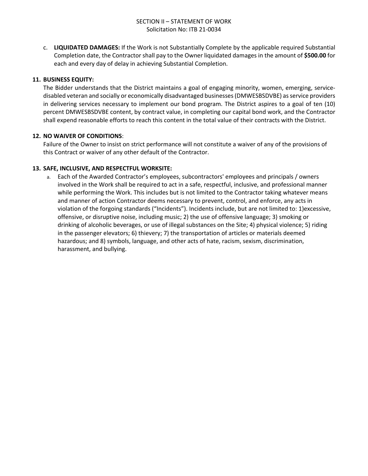c. **LIQUIDATED DAMAGES:** If the Work is not Substantially Complete by the applicable required Substantial Completion date, the Contractor shall pay to the Owner liquidated damages in the amount of **\$500.00** for each and every day of delay in achieving Substantial Completion.

## **11. BUSINESS EQUITY:**

The Bidder understands that the District maintains a goal of engaging minority, women, emerging, servicedisabled veteran and socially or economically disadvantaged businesses (DMWESBSDVBE) as service providers in delivering services necessary to implement our bond program. The District aspires to a goal of ten (10) percent DMWESBSDVBE content, by contract value, in completing our capital bond work, and the Contractor shall expend reasonable efforts to reach this content in the total value of their contracts with the District.

## **12. NO WAIVER OF CONDITIONS**:

Failure of the Owner to insist on strict performance will not constitute a waiver of any of the provisions of this Contract or waiver of any other default of the Contractor.

## **13. SAFE, INCLUSIVE, AND RESPECTFUL WORKSITE:**

a. Each of the Awarded Contractor's employees, subcontractors' employees and principals / owners involved in the Work shall be required to act in a safe, respectful, inclusive, and professional manner while performing the Work. This includes but is not limited to the Contractor taking whatever means and manner of action Contractor deems necessary to prevent, control, and enforce, any acts in violation of the forgoing standards ("Incidents"). Incidents include, but are not limited to: 1)excessive, offensive, or disruptive noise, including music; 2) the use of offensive language; 3) smoking or drinking of alcoholic beverages, or use of illegal substances on the Site; 4) physical violence; 5) riding in the passenger elevators; 6) thievery; 7) the transportation of articles or materials deemed hazardous; and 8) symbols, language, and other acts of hate, racism, sexism, discrimination, harassment, and bullying.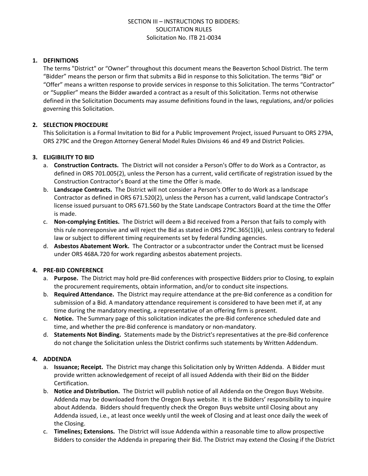## **1. DEFINITIONS**

The terms "District" or "Owner" throughout this document means the Beaverton School District. The term "Bidder" means the person or firm that submits a Bid in response to this Solicitation. The terms "Bid" or "Offer" means a written response to provide services in response to this Solicitation. The terms "Contractor" or "Supplier" means the Bidder awarded a contract as a result of this Solicitation. Terms not otherwise defined in the Solicitation Documents may assume definitions found in the laws, regulations, and/or policies governing this Solicitation.

## **2. SELECTION PROCEDURE**

This Solicitation is a Formal Invitation to Bid for a Public Improvement Project, issued Pursuant to ORS 279A, ORS 279C and the Oregon Attorney General Model Rules Divisions 46 and 49 and District Policies.

## **3. ELIGIBILITY TO BID**

- a. **Construction Contracts.** The District will not consider a Person's Offer to do Work as a Contractor, as defined in ORS 701.005(2), unless the Person has a current, valid certificate of registration issued by the Construction Contractor's Board at the time the Offer is made.
- b. **Landscape Contracts.** The District will not consider a Person's Offer to do Work as a landscape Contractor as defined in ORS 671.520(2), unless the Person has a current, valid landscape Contractor's license issued pursuant to ORS 671.560 by the State Landscape Contractors Board at the time the Offer is made.
- c. **Non-complying Entities.** The District will deem a Bid received from a Person that fails to comply with this rule nonresponsive and will reject the Bid as stated in ORS 279C.365(1)(k), unless contrary to federal law or subject to different timing requirements set by federal funding agencies.
- d. **Asbestos Abatement Work.** The Contractor or a subcontractor under the Contract must be licensed under ORS 468A.720 for work regarding asbestos abatement projects.

#### **4. PRE-BID CONFERENCE**

- a. **Purpose.** The District may hold pre-Bid conferences with prospective Bidders prior to Closing, to explain the procurement requirements, obtain information, and/or to conduct site inspections.
- b. **Required Attendance.** The District may require attendance at the pre-Bid conference as a condition for submission of a Bid. A mandatory attendance requirement is considered to have been met if, at any time during the mandatory meeting, a representative of an offering firm is present.
- c. **Notice.** The Summary page of this solicitation indicates the pre-Bid conference scheduled date and time, and whether the pre-Bid conference is mandatory or non-mandatory.
- d. **Statements Not Binding.** Statements made by the District's representatives at the pre-Bid conference do not change the Solicitation unless the District confirms such statements by Written Addendum.

#### **4. ADDENDA**

- a. **Issuance; Receipt.** The District may change this Solicitation only by Written Addenda. A Bidder must provide written acknowledgement of receipt of all issued Addenda with their Bid on the Bidder Certification.
- b. **Notice and Distribution.** The District will publish notice of all Addenda on the Oregon Buys Website. Addenda may be downloaded from the Oregon Buys website. It is the Bidders' responsibility to inquire about Addenda. Bidders should frequently check the Oregon Buys website until Closing about any Addenda issued, i.e., at least once weekly until the week of Closing and at least once daily the week of the Closing.
- c. **Timelines; Extensions.** The District will issue Addenda within a reasonable time to allow prospective Bidders to consider the Addenda in preparing their Bid. The District may extend the Closing if the District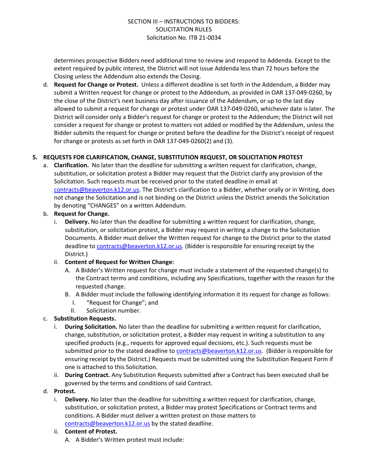determines prospective Bidders need additional time to review and respond to Addenda. Except to the extent required by public interest, the District will not issue Addenda less than 72 hours before the Closing unless the Addendum also extends the Closing.

d. **Request for Change or Protest.** Unless a different deadline is set forth in the Addendum, a Bidder may submit a Written request for change or protest to the Addendum, as provided in OAR 137-049-0260, by the close of the District's next business day after issuance of the Addendum, or up to the last day allowed to submit a request for change or protest under OAR 137-049-0260, whichever date is later. The District will consider only a Bidder's request for change or protest to the Addendum; the District will not consider a request for change or protest to matters not added or modified by the Addendum, unless the Bidder submits the request for change or protest before the deadline for the District's receipt of request for change or protests as set forth in OAR 137-049-0260(2) and (3).

## **5. REQUESTS FOR CLARIFICATION, CHANGE, SUBSTITUTION REQUEST, OR SOLICITATION PROTEST**

a. **Clarification.** No later than the deadline for submitting a written request for clarification, change, substitution, or solicitation protest a Bidder may request that the District clarify any provision of the Solicitation. Such requests must be received prior to the stated deadline in email at [contracts@beaverton.k12.or.us.](mailto:contracts@beaverton.k12.or.us) The District's clarification to a Bidder, whether orally or in Writing, does not change the Solicitation and is not binding on the District unless the District amends the Solicitation by denoting "CHANGES" on a written Addendum.

#### b. **Request for Change.**

i. **Delivery.** No later than the deadline for submitting a written request for clarification, change, substitution, or solicitation protest, a Bidder may request in writing a change to the Solicitation Documents. A Bidder must deliver the Written request for change to the District prior to the stated deadline to [contracts@beaverton.k12.or.us.](mailto:contracts@beaverton.k12.or.us) (Bidder is responsible for ensuring receipt by the District.)

## ii. **Content of Request for Written Change:**

- A. A Bidder's Written request for change must include a statement of the requested change(s) to the Contract terms and conditions, including any Specifications, together with the reason for the requested change.
- B. A Bidder must include the following identifying information it its request for change as follows:
	- I. "Request for Change"; and
	- II. Solicitation number.

## c. **Substitution Requests.**

- i. **During Solicitation.** No later than the deadline for submitting a written request for clarification, change, substitution, or solicitation protest, a Bidder may request in writing a substitution to any specified products (e.g., requests for approved equal decisions, etc.). Such requests must be submitted prior to the stated deadline to [contracts@beaverton.k12.or.us](mailto:contracts@beaverton.k12.or.us). (Bidder is responsible for ensuring receipt by the District.) Requests must be submitted using the Substitution Request Form if one is attached to this Solicitation.
- ii. **During Contract.** Any Substitution Requests submitted after a Contract has been executed shall be governed by the terms and conditions of said Contract.

#### d. **Protest.**

i. **Delivery.** No later than the deadline for submitting a written request for clarification, change, substitution, or solicitation protest, a Bidder may protest Specifications or Contract terms and conditions. A Bidder must deliver a written protest on those matters to [contracts@beaverton.k12.or.us](mailto:contracts@beaverton.k12.or.us) by the stated deadline.

#### ii. **Content of Protest.**

A. A Bidder's Written protest must include: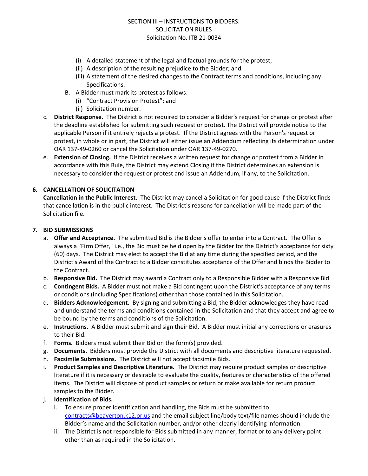- (i) A detailed statement of the legal and factual grounds for the protest;
- (ii) A description of the resulting prejudice to the Bidder; and
- (iii) A statement of the desired changes to the Contract terms and conditions, including any Specifications.
- B. A Bidder must mark its protest as follows:
	- (i) "Contract Provision Protest"; and
	- (ii) Solicitation number.
- c. **District Response.** The District is not required to consider a Bidder's request for change or protest after the deadline established for submitting such request or protest. The District will provide notice to the applicable Person if it entirely rejects a protest. If the District agrees with the Person's request or protest, in whole or in part, the District will either issue an Addendum reflecting its determination under OAR 137-49-0260 or cancel the Solicitation under OAR 137-49-0270.
- e. **Extension of Closing.** If the District receives a written request for change or protest from a Bidder in accordance with this Rule, the District may extend Closing if the District determines an extension is necessary to consider the request or protest and issue an Addendum, if any, to the Solicitation.

## **6. CANCELLATION OF SOLICITATION**

**Cancellation in the Public Interest.** The District may cancel a Solicitation for good cause if the District finds that cancellation is in the public interest. The District's reasons for cancellation will be made part of the Solicitation file.

#### **7. BID SUBMISSIONS**

- a. **Offer and Acceptance.** The submitted Bid is the Bidder's offer to enter into a Contract. The Offer is always a "Firm Offer," i.e., the Bid must be held open by the Bidder for the District's acceptance for sixty (60) days. The District may elect to accept the Bid at any time during the specified period, and the District's Award of the Contract to a Bidder constitutes acceptance of the Offer and binds the Bidder to the Contract.
- b. **Responsive Bid.** The District may award a Contract only to a Responsible Bidder with a Responsive Bid.
- c. **Contingent Bids.** A Bidder must not make a Bid contingent upon the District's acceptance of any terms or conditions (including Specifications) other than those contained in this Solicitation.
- d. **Bidders Acknowledgement.** By signing and submitting a Bid, the Bidder acknowledges they have read and understand the terms and conditions contained in the Solicitation and that they accept and agree to be bound by the terms and conditions of the Solicitation.
- e. **Instructions.** A Bidder must submit and sign their Bid. A Bidder must initial any corrections or erasures to their Bid.
- f. **Forms.** Bidders must submit their Bid on the form(s) provided.
- g. **Documents.** Bidders must provide the District with all documents and descriptive literature requested.
- h. **Facsimile Submissions.** The District will not accept facsimile Bids.
- i. **Product Samples and Descriptive Literature.** The District may require product samples or descriptive literature if it is necessary or desirable to evaluate the quality, features or characteristics of the offered items. The District will dispose of product samples or return or make available for return product samples to the Bidder.
- j. **Identification of Bids.**
	- i. To ensure proper identification and handling, the Bids must be submitted to [contracts@beaverton.k12.or.us](mailto:contracts@beaverton.k12.or.us) and the email subject line/body text/file names should include the Bidder's name and the Solicitation number, and/or other clearly identifying information.
	- ii. The District is not responsible for Bids submitted in any manner, format or to any delivery point other than as required in the Solicitation.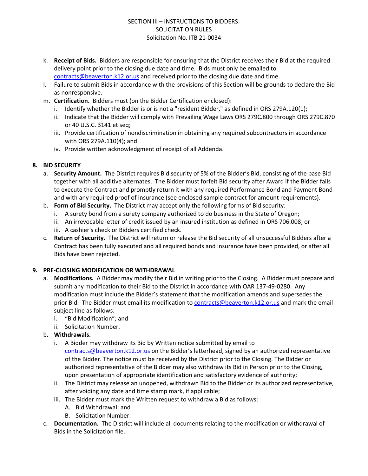- k. **Receipt of Bids.** Bidders are responsible for ensuring that the District receives their Bid at the required delivery point prior to the closing due date and time. Bids must only be emailed to [contracts@beaverton.k12.or.us](mailto:contracts@beaverton.k12.or.us) and received prior to the closing due date and time.
- l. Failure to submit Bids in accordance with the provisions of this Section will be grounds to declare the Bid as nonresponsive.
- m. **Certification.** Bidders must (on the Bidder Certification enclosed):
	- i. Identify whether the Bidder is or is not a "resident Bidder," as defined in ORS 279A.120(1);
	- ii. Indicate that the Bidder will comply with Prevailing Wage Laws ORS 279C.800 through ORS 279C.870 or 40 U.S.C. 3141 et seq;
	- iii. Provide certification of nondiscrimination in obtaining any required subcontractors in accordance with ORS 279A.110(4); and
	- iv. Provide written acknowledgment of receipt of all Addenda.

## **8. BID SECURITY**

- a. **Security Amount.** The District requires Bid security of 5% of the Bidder's Bid, consisting of the base Bid together with all additive alternates. The Bidder must forfeit Bid security after Award if the Bidder fails to execute the Contract and promptly return it with any required Performance Bond and Payment Bond and with any required proof of insurance (see enclosed sample contract for amount requirements).
- b. **Form of Bid Security.** The District may accept only the following forms of Bid security:
	- i. A surety bond from a surety company authorized to do business in the State of Oregon;
	- ii. An irrevocable letter of credit issued by an insured institution as defined in ORS 706.008; or
	- iii. A cashier's check or Bidders certified check.
- c. **Return of Security.** The District will return or release the Bid security of all unsuccessful Bidders after a Contract has been fully executed and all required bonds and insurance have been provided, or after all Bids have been rejected.

#### **9. PRE-CLOSING MODIFICATION OR WITHDRAWAL**

- a. **Modifications.** A Bidder may modify their Bid in writing prior to the Closing. A Bidder must prepare and submit any modification to their Bid to the District in accordance with OAR 137-49-0280. Any modification must include the Bidder's statement that the modification amends and supersedes the prior Bid. The Bidder must email its modification to [contracts@beaverton.k12.or.us](mailto:contracts@beaverton.k12.or.us) and mark the email subject line as follows:
	- i. "Bid Modification"; and
	- ii. Solicitation Number.
- b. **Withdrawals.**
	- i. A Bidder may withdraw its Bid by Written notice submitted by email to [contracts@beaverton.k12.or.us](mailto:contracts@beaverton.k12.or.us) on the Bidder's letterhead, signed by an authorized representative of the Bidder. The notice must be received by the District prior to the Closing. The Bidder or authorized representative of the Bidder may also withdraw its Bid in Person prior to the Closing, upon presentation of appropriate identification and satisfactory evidence of authority;
	- ii. The District may release an unopened, withdrawn Bid to the Bidder or its authorized representative, after voiding any date and time stamp mark, if applicable;
	- iii. The Bidder must mark the Written request to withdraw a Bid as follows:
		- A. Bid Withdrawal; and
		- B. Solicitation Number.
- c. **Documentation.** The District will include all documents relating to the modification or withdrawal of Bids in the Solicitation file.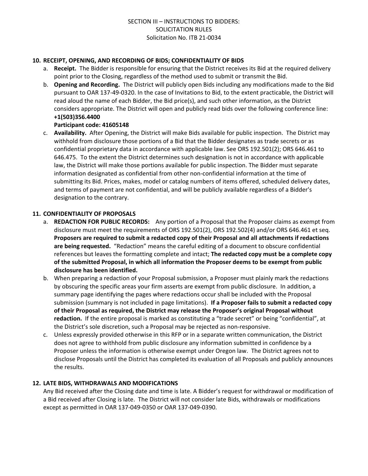#### **10. RECEIPT, OPENING, AND RECORDING OF BIDS; CONFIDENTIALITY OF BIDS**

- a. **Receipt.** The Bidder is responsible for ensuring that the District receives its Bid at the required delivery point prior to the Closing, regardless of the method used to submit or transmit the Bid.
- b. **Opening and Recording.** The District will publicly open Bids including any modifications made to the Bid pursuant to OAR 137-49-0320. In the case of Invitations to Bid, to the extent practicable, the District will read aloud the name of each Bidder, the Bid price(s), and such other information, as the District considers appropriate. The District will open and publicly read bids over the following conference line: **+1(503)356.4400**

## **Participant code: 41605148**

c. **Availability.** After Opening, the District will make Bids available for public inspection. The District may withhold from disclosure those portions of a Bid that the Bidder designates as trade secrets or as confidential proprietary data in accordance with applicable law. See ORS 192.501(2); ORS 646.461 to 646.475. To the extent the District determines such designation is not in accordance with applicable law, the District will make those portions available for public inspection. The Bidder must separate information designated as confidential from other non-confidential information at the time of submitting its Bid. Prices, makes, model or catalog numbers of items offered, scheduled delivery dates, and terms of payment are not confidential, and will be publicly available regardless of a Bidder's designation to the contrary.

## **11. CONFIDENTIALITY OF PROPOSALS**

- a. **REDACTION FOR PUBLIC RECORDS:** Any portion of a Proposal that the Proposer claims as exempt from disclosure must meet the requirements of ORS 192.501(2), ORS 192.502(4) and/or ORS 646.461 et seq. **Proposers are required to submit a redacted copy of their Proposal and all attachments if redactions are being requested.** "Redaction" means the careful editing of a document to obscure confidential references but leaves the formatting complete and intact; **The redacted copy must be a complete copy of the submitted Proposal, in which all information the Proposer deems to be exempt from public disclosure has been identified.**
- b. When preparing a redaction of your Proposal submission, a Proposer must plainly mark the redactions by obscuring the specific areas your firm asserts are exempt from public disclosure. In addition, a summary page identifying the pages where redactions occur shall be included with the Proposal submission (summary is not included in page limitations). **If a Proposer fails to submit a redacted copy of their Proposal as required, the District may release the Proposer's original Proposal without redaction.** If the entire proposal is marked as constituting a "trade secret" or being "confidential", at the District's sole discretion, such a Proposal may be rejected as non-responsive.
- c. Unless expressly provided otherwise in this RFP or in a separate written communication, the District does not agree to withhold from public disclosure any information submitted in confidence by a Proposer unless the information is otherwise exempt under Oregon law. The District agrees not to disclose Proposals until the District has completed its evaluation of all Proposals and publicly announces the results.

## **12. LATE BIDS, WITHDRAWALS AND MODIFICATIONS**

Any Bid received after the Closing date and time is late. A Bidder's request for withdrawal or modification of a Bid received after Closing is late. The District will not consider late Bids, withdrawals or modifications except as permitted in OAR 137-049-0350 or OAR 137-049-0390.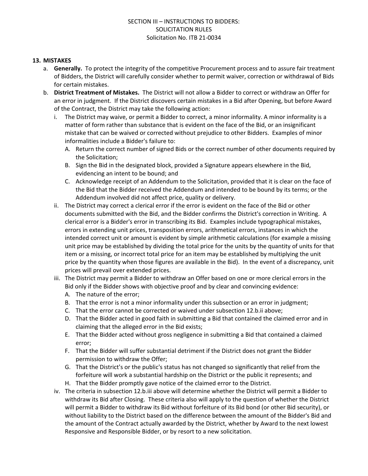## **13. MISTAKES**

- a. **Generally.** To protect the integrity of the competitive Procurement process and to assure fair treatment of Bidders, the District will carefully consider whether to permit waiver, correction or withdrawal of Bids for certain mistakes.
- b. **District Treatment of Mistakes.** The District will not allow a Bidder to correct or withdraw an Offer for an error in judgment. If the District discovers certain mistakes in a Bid after Opening, but before Award of the Contract, the District may take the following action:
	- i. The District may waive, or permit a Bidder to correct, a minor informality. A minor informality is a matter of form rather than substance that is evident on the face of the Bid, or an insignificant mistake that can be waived or corrected without prejudice to other Bidders. Examples of minor informalities include a Bidder's failure to:
		- A. Return the correct number of signed Bids or the correct number of other documents required by the Solicitation;
		- B. Sign the Bid in the designated block, provided a Signature appears elsewhere in the Bid, evidencing an intent to be bound; and
		- C. Acknowledge receipt of an Addendum to the Solicitation, provided that it is clear on the face of the Bid that the Bidder received the Addendum and intended to be bound by its terms; or the Addendum involved did not affect price, quality or delivery.
	- ii. The District may correct a clerical error if the error is evident on the face of the Bid or other documents submitted with the Bid, and the Bidder confirms the District's correction in Writing. A clerical error is a Bidder's error in transcribing its Bid. Examples include typographical mistakes, errors in extending unit prices, transposition errors, arithmetical errors, instances in which the intended correct unit or amount is evident by simple arithmetic calculations (for example a missing unit price may be established by dividing the total price for the units by the quantity of units for that item or a missing, or incorrect total price for an item may be established by multiplying the unit price by the quantity when those figures are available in the Bid). In the event of a discrepancy, unit prices will prevail over extended prices.
	- iii. The District may permit a Bidder to withdraw an Offer based on one or more clerical errors in the Bid only if the Bidder shows with objective proof and by clear and convincing evidence:
		- A. The nature of the error;
		- B. That the error is not a minor informality under this subsection or an error in judgment;
		- C. That the error cannot be corrected or waived under subsection 12.b.ii above;
		- D. That the Bidder acted in good faith in submitting a Bid that contained the claimed error and in claiming that the alleged error in the Bid exists;
		- E. That the Bidder acted without gross negligence in submitting a Bid that contained a claimed error;
		- F. That the Bidder will suffer substantial detriment if the District does not grant the Bidder permission to withdraw the Offer;
		- G. That the District's or the public's status has not changed so significantly that relief from the forfeiture will work a substantial hardship on the District or the public it represents; and
		- H. That the Bidder promptly gave notice of the claimed error to the District.
	- iv. The criteria in subsection 12.b.iii above will determine whether the District will permit a Bidder to withdraw its Bid after Closing. These criteria also will apply to the question of whether the District will permit a Bidder to withdraw its Bid without forfeiture of its Bid bond (or other Bid security), or without liability to the District based on the difference between the amount of the Bidder's Bid and the amount of the Contract actually awarded by the District, whether by Award to the next lowest Responsive and Responsible Bidder, or by resort to a new solicitation.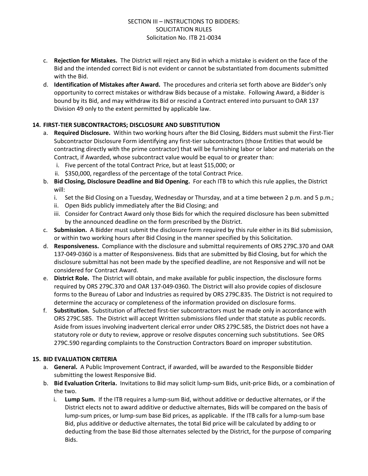- c. **Rejection for Mistakes.** The District will reject any Bid in which a mistake is evident on the face of the Bid and the intended correct Bid is not evident or cannot be substantiated from documents submitted with the Bid.
- d. **Identification of Mistakes after Award.** The procedures and criteria set forth above are Bidder's only opportunity to correct mistakes or withdraw Bids because of a mistake. Following Award, a Bidder is bound by its Bid, and may withdraw its Bid or rescind a Contract entered into pursuant to OAR 137 Division 49 only to the extent permitted by applicable law.

## **14. FIRST-TIER SUBCONTRACTORS; DISCLOSURE AND SUBSTITUTION**

- a. **Required Disclosure.** Within two working hours after the Bid Closing, Bidders must submit the First-Tier Subcontractor Disclosure Form identifying any first-tier subcontractors (those Entities that would be contracting directly with the prime contractor) that will be furnishing labor or labor and materials on the Contract, if Awarded, whose subcontract value would be equal to or greater than:
	- i. Five percent of the total Contract Price, but at least \$15,000; or
	- ii. \$350,000, regardless of the percentage of the total Contract Price.
- b. **Bid Closing, Disclosure Deadline and Bid Opening.** For each ITB to which this rule applies, the District will:
	- i. Set the Bid Closing on a Tuesday, Wednesday or Thursday, and at a time between 2 p.m. and 5 p.m.;
	- ii. Open Bids publicly immediately after the Bid Closing; and
	- iii. Consider for Contract Award only those Bids for which the required disclosure has been submitted by the announced deadline on the form prescribed by the District.
- c. **Submission.** A Bidder must submit the disclosure form required by this rule either in its Bid submission, or within two working hours after Bid Closing in the manner specified by this Solicitation.
- d. **Responsiveness.** Compliance with the disclosure and submittal requirements of ORS 279C.370 and OAR 137-049-0360 is a matter of Responsiveness. Bids that are submitted by Bid Closing, but for which the disclosure submittal has not been made by the specified deadline, are not Responsive and will not be considered for Contract Award.
- e. **District Role.** The District will obtain, and make available for public inspection, the disclosure forms required by ORS 279C.370 and OAR 137-049-0360. The District will also provide copies of disclosure forms to the Bureau of Labor and Industries as required by ORS 279C.835. The District is not required to determine the accuracy or completeness of the information provided on disclosure forms.
- f. **Substitution.** Substitution of affected first-tier subcontractors must be made only in accordance with ORS 279C.585. The District will accept Written submissions filed under that statute as public records. Aside from issues involving inadvertent clerical error under ORS 279C.585, the District does not have a statutory role or duty to review, approve or resolve disputes concerning such substitutions. See ORS 279C.590 regarding complaints to the Construction Contractors Board on improper substitution.

#### **15. BID EVALUATION CRITERIA**

- a. **General.** A Public Improvement Contract, if awarded, will be awarded to the Responsible Bidder submitting the lowest Responsive Bid.
- b. **Bid Evaluation Criteria.** Invitations to Bid may solicit lump-sum Bids, unit-price Bids, or a combination of the two.
	- i. **Lump Sum.** If the ITB requires a lump-sum Bid, without additive or deductive alternates, or if the District elects not to award additive or deductive alternates, Bids will be compared on the basis of lump-sum prices, or lump-sum base Bid prices, as applicable. If the ITB calls for a lump-sum base Bid, plus additive or deductive alternates, the total Bid price will be calculated by adding to or deducting from the base Bid those alternates selected by the District, for the purpose of comparing Bids.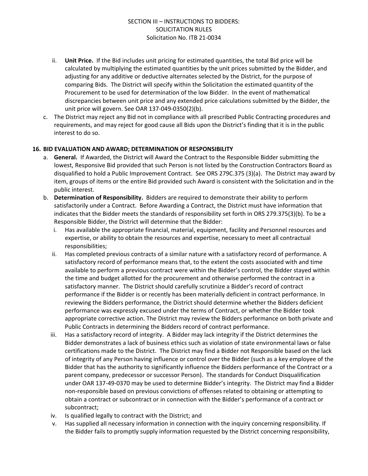- ii. **Unit Price.** If the Bid includes unit pricing for estimated quantities, the total Bid price will be calculated by multiplying the estimated quantities by the unit prices submitted by the Bidder, and adjusting for any additive or deductive alternates selected by the District, for the purpose of comparing Bids. The District will specify within the Solicitation the estimated quantity of the Procurement to be used for determination of the low Bidder. In the event of mathematical discrepancies between unit price and any extended price calculations submitted by the Bidder, the unit price will govern. See OAR 137-049-0350(2)(b).
- c. The District may reject any Bid not in compliance with all prescribed Public Contracting procedures and requirements, and may reject for good cause all Bids upon the District's finding that it is in the public interest to do so.

#### **16. BID EVALUATION AND AWARD; DETERMINATION OF RESPONSIBILITY**

- a. **General.** If Awarded, the District will Award the Contract to the Responsible Bidder submitting the lowest, Responsive Bid provided that such Person is not listed by the Construction Contractors Board as disqualified to hold a Public Improvement Contract. See ORS 279C.375 (3)(a). The District may award by item, groups of items or the entire Bid provided such Award is consistent with the Solicitation and in the public interest.
- b. **Determination of Responsibility.** Bidders are required to demonstrate their ability to perform satisfactorily under a Contract. Before Awarding a Contract, the District must have information that indicates that the Bidder meets the standards of responsibility set forth in ORS 279.375(3)(b). To be a Responsible Bidder, the District will determine that the Bidder:
	- i. Has available the appropriate financial, material, equipment, facility and Personnel resources and expertise, or ability to obtain the resources and expertise, necessary to meet all contractual responsibilities;
	- ii. Has completed previous contracts of a similar nature with a satisfactory record of performance. A satisfactory record of performance means that, to the extent the costs associated with and time available to perform a previous contract were within the Bidder's control, the Bidder stayed within the time and budget allotted for the procurement and otherwise performed the contract in a satisfactory manner. The District should carefully scrutinize a Bidder's record of contract performance if the Bidder is or recently has been materially deficient in contract performance. In reviewing the Bidders performance, the District should determine whether the Bidders deficient performance was expressly excused under the terms of Contract, or whether the Bidder took appropriate corrective action. The District may review the Bidders performance on both private and Public Contracts in determining the Bidders record of contract performance.
	- iii. Has a satisfactory record of integrity. A Bidder may lack integrity if the District determines the Bidder demonstrates a lack of business ethics such as violation of state environmental laws or false certifications made to the District. The District may find a Bidder not Responsible based on the lack of integrity of any Person having influence or control over the Bidder (such as a key employee of the Bidder that has the authority to significantly influence the Bidders performance of the Contract or a parent company, predecessor or successor Person). The standards for Conduct Disqualification under OAR 137-49-0370 may be used to determine Bidder's integrity. The District may find a Bidder non-responsible based on previous convictions of offenses related to obtaining or attempting to obtain a contract or subcontract or in connection with the Bidder's performance of a contract or subcontract;
	- iv. Is qualified legally to contract with the District; and
	- v. Has supplied all necessary information in connection with the inquiry concerning responsibility. If the Bidder fails to promptly supply information requested by the District concerning responsibility,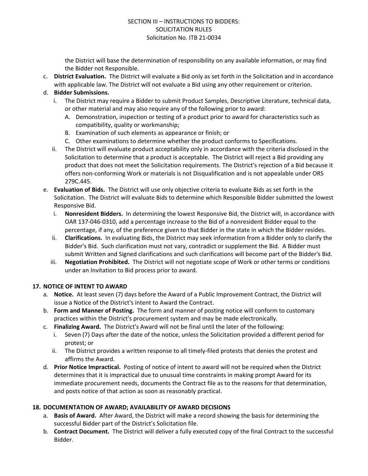the District will base the determination of responsibility on any available information, or may find the Bidder not Responsible.

c. **District Evaluation.** The District will evaluate a Bid only as set forth in the Solicitation and in accordance with applicable law. The District will not evaluate a Bid using any other requirement or criterion.

## d. **Bidder Submissions.**

- i. The District may require a Bidder to submit Product Samples, Descriptive Literature, technical data, or other material and may also require any of the following prior to award:
	- A. Demonstration, inspection or testing of a product prior to award for characteristics such as compatibility, quality or workmanship;
	- B. Examination of such elements as appearance or finish; or
	- C. Other examinations to determine whether the product conforms to Specifications.
- ii. The District will evaluate product acceptability only in accordance with the criteria disclosed in the Solicitation to determine that a product is acceptable. The District will reject a Bid providing any product that does not meet the Solicitation requirements. The District's rejection of a Bid because it offers non-conforming Work or materials is not Disqualification and is not appealable under ORS 279C.445.
- e. **Evaluation of Bids.** The District will use only objective criteria to evaluate Bids as set forth in the Solicitation. The District will evaluate Bids to determine which Responsible Bidder submitted the lowest Responsive Bid.
	- i. **Nonresident Bidders.** In determining the lowest Responsive Bid, the District will, in accordance with OAR 137-046-0310, add a percentage increase to the Bid of a nonresident Bidder equal to the percentage, if any, of the preference given to that Bidder in the state in which the Bidder resides.
	- ii. **Clarifications.** In evaluating Bids, the District may seek information from a Bidder only to clarify the Bidder's Bid. Such clarification must not vary, contradict or supplement the Bid. A Bidder must submit Written and Signed clarifications and such clarifications will become part of the Bidder's Bid.
	- iii. **Negotiation Prohibited.** The District will not negotiate scope of Work or other terms or conditions under an Invitation to Bid process prior to award.

#### **17. NOTICE OF INTENT TO AWARD**

- a. **Notice.** At least seven (7) days before the Award of a Public Improvement Contract, the District will issue a Notice of the District's intent to Award the Contract.
- b. **Form and Manner of Posting.** The form and manner of posting notice will conform to customary practices within the District's procurement system and may be made electronically.
- c. **Finalizing Award.** The District's Award will not be final until the later of the following:
	- i. Seven (7) Days after the date of the notice, unless the Solicitation provided a different period for protest; or
	- ii. The District provides a written response to all timely-filed protests that denies the protest and affirms the Award.
- d. **Prior Notice Impractical.** Posting of notice of intent to award will not be required when the District determines that it is impractical due to unusual time constraints in making prompt Award for its immediate procurement needs, documents the Contract file as to the reasons for that determination, and posts notice of that action as soon as reasonably practical.

#### **18. DOCUMENTATION OF AWARD; AVAILABILITY OF AWARD DECISIONS**

- a. **Basis of Award.** After Award, the District will make a record showing the basis for determining the successful Bidder part of the District's Solicitation file.
- b. **Contract Document.** The District will deliver a fully executed copy of the final Contract to the successful Bidder.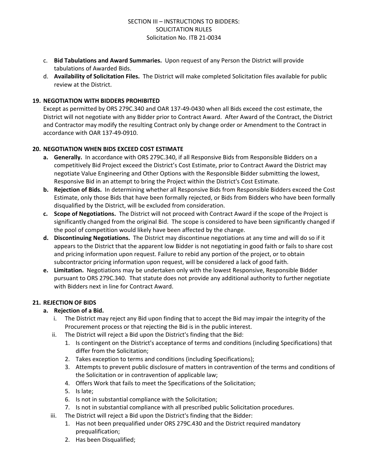- c. **Bid Tabulations and Award Summaries.** Upon request of any Person the District will provide tabulations of Awarded Bids.
- d. **Availability of Solicitation Files.** The District will make completed Solicitation files available for public review at the District.

## **19. NEGOTIATION WITH BIDDERS PROHIBITED**

Except as permitted by ORS 279C.340 and OAR 137-49-0430 when all Bids exceed the cost estimate, the District will not negotiate with any Bidder prior to Contract Award. After Award of the Contract, the District and Contractor may modify the resulting Contract only by change order or Amendment to the Contract in accordance with OAR 137-49-0910.

## **20. NEGOTIATION WHEN BIDS EXCEED COST ESTIMATE**

- **a. Generally.** In accordance with ORS 279C.340, if all Responsive Bids from Responsible Bidders on a competitively Bid Project exceed the District's Cost Estimate, prior to Contract Award the District may negotiate Value Engineering and Other Options with the Responsible Bidder submitting the lowest, Responsive Bid in an attempt to bring the Project within the District's Cost Estimate.
- **b. Rejection of Bids.** In determining whether all Responsive Bids from Responsible Bidders exceed the Cost Estimate, only those Bids that have been formally rejected, or Bids from Bidders who have been formally disqualified by the District, will be excluded from consideration.
- **c. Scope of Negotiations.** The District will not proceed with Contract Award if the scope of the Project is significantly changed from the original Bid. The scope is considered to have been significantly changed if the pool of competition would likely have been affected by the change.
- **d. Discontinuing Negotiations.** The District may discontinue negotiations at any time and will do so if it appears to the District that the apparent low Bidder is not negotiating in good faith or fails to share cost and pricing information upon request. Failure to rebid any portion of the project, or to obtain subcontractor pricing information upon request, will be considered a lack of good faith.
- **e. Limitation.** Negotiations may be undertaken only with the lowest Responsive, Responsible Bidder pursuant to ORS 279C.340. That statute does not provide any additional authority to further negotiate with Bidders next in line for Contract Award.

## **21. REJECTION OF BIDS**

## **a. Rejection of a Bid.**

- i. The District may reject any Bid upon finding that to accept the Bid may impair the integrity of the Procurement process or that rejecting the Bid is in the public interest.
- ii. The District will reject a Bid upon the District's finding that the Bid:
	- 1. Is contingent on the District's acceptance of terms and conditions (including Specifications) that differ from the Solicitation;
	- 2. Takes exception to terms and conditions (including Specifications);
	- 3. Attempts to prevent public disclosure of matters in contravention of the terms and conditions of the Solicitation or in contravention of applicable law;
	- 4. Offers Work that fails to meet the Specifications of the Solicitation;
	- 5. Is late;
	- 6. Is not in substantial compliance with the Solicitation;
	- 7. Is not in substantial compliance with all prescribed public Solicitation procedures.
- iii. The District will reject a Bid upon the District's finding that the Bidder:
	- 1. Has not been prequalified under ORS 279C.430 and the District required mandatory prequalification;
	- 2. Has been Disqualified;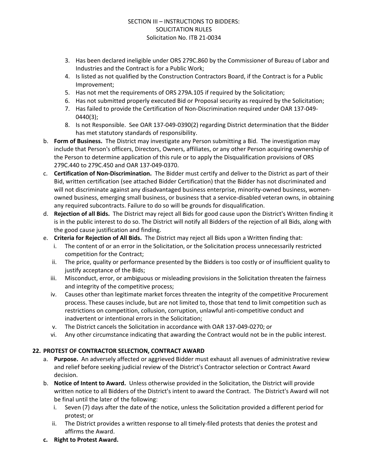- 3. Has been declared ineligible under ORS 279C.860 by the Commissioner of Bureau of Labor and Industries and the Contract is for a Public Work;
- 4. Is listed as not qualified by the Construction Contractors Board, if the Contract is for a Public Improvement;
- 5. Has not met the requirements of ORS 279A.105 if required by the Solicitation;
- 6. Has not submitted properly executed Bid or Proposal security as required by the Solicitation;
- 7. Has failed to provide the Certification of Non-Discrimination required under OAR 137-049- 0440(3);
- 8. Is not Responsible. See OAR 137-049-0390(2) regarding District determination that the Bidder has met statutory standards of responsibility.
- b. **Form of Business.** The District may investigate any Person submitting a Bid. The investigation may include that Person's officers, Directors, Owners, affiliates, or any other Person acquiring ownership of the Person to determine application of this rule or to apply the Disqualification provisions of ORS 279C.440 to 279C.450 and OAR 137-049-0370.
- c. **Certification of Non-Discrimination.** The Bidder must certify and deliver to the District as part of their Bid, written certification (see attached Bidder Certification) that the Bidder has not discriminated and will not discriminate against any disadvantaged business enterprise, minority-owned business, womenowned business, emerging small business, or business that a service-disabled veteran owns, in obtaining any required subcontracts. Failure to do so will be grounds for disqualification.
- d. **Rejection of all Bids.** The District may reject all Bids for good cause upon the District's Written finding it is in the public interest to do so. The District will notify all Bidders of the rejection of all Bids, along with the good cause justification and finding.
- e. **Criteria for Rejection of All Bids.** The District may reject all Bids upon a Written finding that:
	- i. The content of or an error in the Solicitation, or the Solicitation process unnecessarily restricted competition for the Contract;
	- ii. The price, quality or performance presented by the Bidders is too costly or of insufficient quality to justify acceptance of the Bids;
	- iii. Misconduct, error, or ambiguous or misleading provisions in the Solicitation threaten the fairness and integrity of the competitive process;
	- iv. Causes other than legitimate market forces threaten the integrity of the competitive Procurement process. These causes include, but are not limited to, those that tend to limit competition such as restrictions on competition, collusion, corruption, unlawful anti-competitive conduct and inadvertent or intentional errors in the Solicitation;
	- v. The District cancels the Solicitation in accordance with OAR 137-049-0270; or
	- vi. Any other circumstance indicating that awarding the Contract would not be in the public interest.

## **22. PROTEST OF CONTRACTOR SELECTION, CONTRACT AWARD**

- a. **Purpose.** An adversely affected or aggrieved Bidder must exhaust all avenues of administrative review and relief before seeking judicial review of the District's Contractor selection or Contract Award decision.
- b. **Notice of Intent to Award.** Unless otherwise provided in the Solicitation, the District will provide written notice to all Bidders of the District's intent to award the Contract. The District's Award will not be final until the later of the following:
	- i. Seven (7) days after the date of the notice, unless the Solicitation provided a different period for protest; or
	- ii. The District provides a written response to all timely-filed protests that denies the protest and affirms the Award.
- **c. Right to Protest Award.**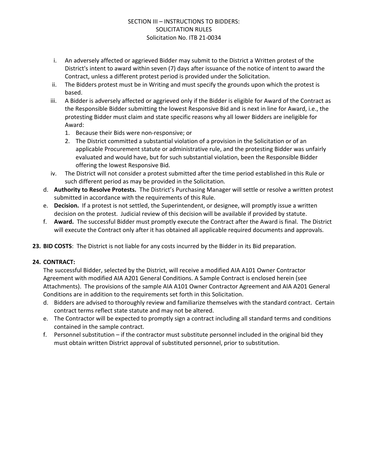- i. An adversely affected or aggrieved Bidder may submit to the District a Written protest of the District's intent to award within seven (7) days after issuance of the notice of intent to award the Contract, unless a different protest period is provided under the Solicitation.
- ii. The Bidders protest must be in Writing and must specify the grounds upon which the protest is based.
- iii. A Bidder is adversely affected or aggrieved only if the Bidder is eligible for Award of the Contract as the Responsible Bidder submitting the lowest Responsive Bid and is next in line for Award, i.e., the protesting Bidder must claim and state specific reasons why all lower Bidders are ineligible for Award:
	- 1. Because their Bids were non-responsive; or
	- 2. The District committed a substantial violation of a provision in the Solicitation or of an applicable Procurement statute or administrative rule, and the protesting Bidder was unfairly evaluated and would have, but for such substantial violation, been the Responsible Bidder offering the lowest Responsive Bid.
- iv. The District will not consider a protest submitted after the time period established in this Rule or such different period as may be provided in the Solicitation.
- d. **Authority to Resolve Protests.** The District's Purchasing Manager will settle or resolve a written protest submitted in accordance with the requirements of this Rule.
- e. **Decision.** If a protest is not settled, the Superintendent, or designee, will promptly issue a written decision on the protest. Judicial review of this decision will be available if provided by statute.
- f. **Award.** The successful Bidder must promptly execute the Contract after the Award is final. The District will execute the Contract only after it has obtained all applicable required documents and approvals.
- **23. BID COSTS**: The District is not liable for any costs incurred by the Bidder in its Bid preparation.

## **24. CONTRACT:**

The successful Bidder, selected by the District, will receive a modified AIA A101 Owner Contractor Agreement with modified AIA A201 General Conditions. A Sample Contract is enclosed herein (see Attachments). The provisions of the sample AIA A101 Owner Contractor Agreement and AIA A201 General Conditions are in addition to the requirements set forth in this Solicitation.

- d. Bidders are advised to thoroughly review and familiarize themselves with the standard contract. Certain contract terms reflect state statute and may not be altered.
- e. The Contractor will be expected to promptly sign a contract including all standard terms and conditions contained in the sample contract.
- f. Personnel substitution if the contractor must substitute personnel included in the original bid they must obtain written District approval of substituted personnel, prior to substitution.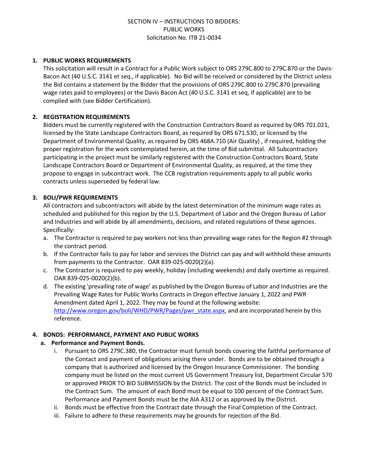#### **1. PUBLIC WORKS REQUIREMENTS**

This solicitation will result in a Contract for a Public Work subject to ORS 279C.800 to 279C.870 or the Davis-Bacon Act (40 U.S.C. 3141 et seq., if applicable). No Bid will be received or considered by the District unless the Bid contains a statement by the Bidder that the provisions of ORS 279C.800 to 279C.870 (prevailing wage rates paid to employees) or the Davis Bacon Act (40 U.S.C. 3141 et seq, if applicable) are to be complied with (see Bidder Certification).

#### **2. REGISTRATION REQUIREMENTS**

Bidders must be currently registered with the Construction Contractors Board as required by ORS 701.021, licensed by the State Landscape Contractors Board, as required by ORS 671.530, or licensed by the Department of Environmental Quality, as required by ORS 468A.710 (Air Quality) , if required, holding the proper registration for the work contemplated herein, at the time of Bid submittal. All Subcontractors participating in the project must be similarly registered with the Construction Contractors Board, State Landscape Contractors Board or Department of Environmental Quality, as required, at the time they propose to engage in subcontract work. The CCB registration requirements apply to all public works contracts unless superseded by federal law.

## **3. BOLI/PWR REQUIREMENTS**

All contractors and subcontractors will abide by the latest determination of the minimum wage rates as scheduled and published for this region by the U.S. Department of Labor and the Oregon Bureau of Labor and Industries and will abide by all amendments, decisions, and related regulations of these agencies. Specifically:

- a. The Contractor is required to pay workers not less than prevailing wage rates for the Region #2 through the contract period.
- b. If the Contractor fails to pay for labor and services the District can pay and will withhold these amounts from payments to the Contractor. OAR 839-025-0020(2)(a).
- c. The Contractor is required to pay weekly, holiday (including weekends) and daily overtime as required. OAR 839-025-0020(2)(b).
- d. The existing 'prevailing rate of wage' as published by the Oregon Bureau of Labor and Industries are the Prevailing Wage Rates for Public Works Contracts in Oregon effective January 1, 2022 and PWR Amendment dated April 1, 2022. They may be found at the following website: [http://www.oregon.gov/boli/WHD/PWR/Pages/pwr\\_state.aspx](http://www.oregon.gov/boli/WHD/PWR/Pages/pwr_state.aspx), and are incorporated herein by this reference.

#### **4. BONDS: PERFORMANCE, PAYMENT AND PUBLIC WORKS**

#### **a. Performance and Payment Bonds.**

- i. Pursuant to ORS 279C.380, the Contractor must furnish bonds covering the faithful performance of the Contact and payment of obligations arising there under. Bonds are to be obtained through a company that is authorized and licensed by the Oregon Insurance Commissioner. The bonding company must be listed on the most current US Government Treasury list, Department Circular 570 or approved PRIOR TO BID SUBMISSION by the District. The cost of the Bonds must be included in the Contract Sum. The amount of each Bond must be equal to 100 percent of the Contract Sum. Performance and Payment Bonds must be the AIA A312 or as approved by the District.
- ii. Bonds must be effective from the Contract date through the Final Completion of the Contract.
- iii. Failure to adhere to these requirements may be grounds for rejection of the Bid.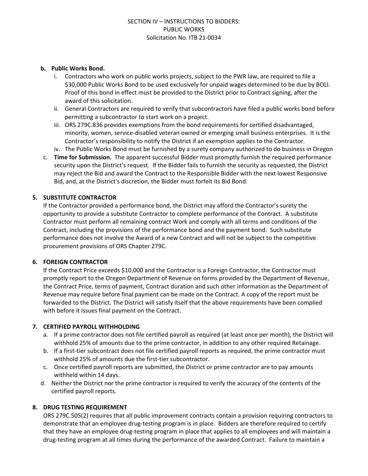#### **b. Public Works Bond.**

- i. Contractors who work on public works projects, subject to the PWR law, are required to file a \$30,000 Public Works Bond to be used exclusively for unpaid wages determined to be due by BOLI. Proof of this bond in effect must be provided to the District prior to Contract signing, after the award of this solicitation.
- ii. General Contractors are required to verify that subcontractors have filed a public works bond before permitting a subcontractor to start work on a project.
- iii. ORS 279C.836 provides exemptions from the bond requirements for certified disadvantaged, minority, women, service-disabled veteran owned or emerging small business enterprises. It is the Contractor's responsibility to notify the District if an exemption applies to the Contractor.
- iv. The Public Works Bond must be furnished by a surety company authorized to do business in Oregon
- c. **Time for Submission.** The apparent successful Bidder must promptly furnish the required performance security upon the District's request. If the Bidder fails to furnish the security as requested, the District may reject the Bid and award the Contract to the Responsible Bidder with the next lowest Responsive Bid, and, at the District's discretion, the Bidder must forfeit its Bid Bond.

#### **5. SUBSTITUTE CONTRACTOR**

If the Contractor provided a performance bond, the District may afford the Contractor's surety the opportunity to provide a substitute Contractor to complete performance of the Contract. A substitute Contractor must perform all remaining contract Work and comply with all terms and conditions of the Contract, including the provisions of the performance bond and the payment bond. Such substitute performance does not involve the Award of a new Contract and will not be subject to the competitive procurement provisions of ORS Chapter 279C.

#### **6. FOREIGN CONTRACTOR**

If the Contract Price exceeds \$10,000 and the Contractor is a Foreign Contractor, the Contractor must promptly report to the Oregon Department of Revenue on forms provided by the Department of Revenue, the Contract Price, terms of payment, Contract duration and such other information as the Department of Revenue may require before final payment can be made on the Contract. A copy of the report must be forwarded to the District. The District will satisfy itself that the above requirements have been complied with before it issues final payment on the Contract.

#### **7. CERTIFIED PAYROLL WITHHOLDING**

- a. If a prime contractor does not file certified payroll as required (at least once per month), the District will withhold 25% of amounts due to the prime contractor, in addition to any other required Retainage.
- b. If a first-tier subcontract does not file certified payroll reports as required, the prime contractor must withhold 25% of amounts due the first-tier subcontractor.
- c. Once certified payroll reports are submitted, the District or prime contractor are to pay amounts withheld within 14 days.
- d. Neither the District nor the prime contractor is required to verify the accuracy of the contents of the certified payroll reports.

#### **8. DRUG TESTING REQUIREMENT**

ORS 279C.505(2) requires that all public improvement contracts contain a provision requiring contractors to demonstrate that an employee drug-testing program is in place. Bidders are therefore required to certify that they have an employee drug-testing program in place that applies to all employees and will maintain a drug-testing program at all times during the performance of the awarded Contract. Failure to maintain a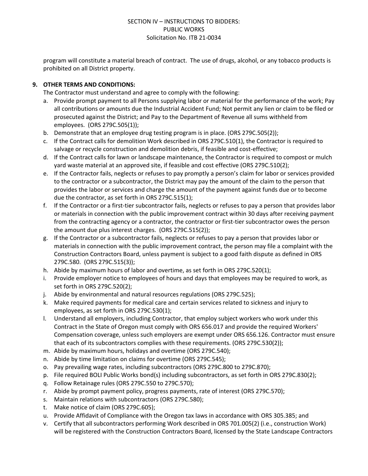program will constitute a material breach of contract. The use of drugs, alcohol, or any tobacco products is prohibited on all District property.

## **9. OTHER TERMS AND CONDITIONS:**

The Contractor must understand and agree to comply with the following:

- a. Provide prompt payment to all Persons supplying labor or material for the performance of the work; Pay all contributions or amounts due the Industrial Accident Fund; Not permit any lien or claim to be filed or prosecuted against the District; and Pay to the Department of Revenue all sums withheld from employees. (ORS 279C.505(1));
- b. Demonstrate that an employee drug testing program is in place. (ORS 279C.505(2));
- c. If the Contract calls for demolition Work described in ORS 279C.510(1), the Contractor is required to salvage or recycle construction and demolition debris, if feasible and cost-effective;
- d. If the Contract calls for lawn or landscape maintenance, the Contractor is required to compost or mulch yard waste material at an approved site, if feasible and cost effective (ORS 279C.510(2);
- e. If the Contractor fails, neglects or refuses to pay promptly a person's claim for labor or services provided to the contractor or a subcontractor, the District may pay the amount of the claim to the person that provides the labor or services and charge the amount of the payment against funds due or to become due the contractor, as set forth in ORS 279C.515(1);
- f. If the Contractor or a first-tier subcontractor fails, neglects or refuses to pay a person that provides labor or materials in connection with the public improvement contract within 30 days after receiving payment from the contracting agency or a contractor, the contractor or first-tier subcontractor owes the person the amount due plus interest charges. (ORS 279C.515(2));
- g. If the Contractor or a subcontractor fails, neglects or refuses to pay a person that provides labor or materials in connection with the public improvement contract, the person may file a complaint with the Construction Contractors Board, unless payment is subject to a good faith dispute as defined in ORS 279C.580. (ORS 279C.515(3));
- h. Abide by maximum hours of labor and overtime, as set forth in ORS 279C.520(1);
- i. Provide employer notice to employees of hours and days that employees may be required to work, as set forth in ORS 279C.520(2);
- j. Abide by environmental and natural resources regulations (ORS 279C.525);
- k. Make required payments for medical care and certain services related to sickness and injury to employees, as set forth in ORS 279C.530(1);
- l. Understand all employers, including Contractor, that employ subject workers who work under this Contract in the State of Oregon must comply with ORS 656.017 and provide the required Workers' Compensation coverage, unless such employers are exempt under ORS 656.126. Contractor must ensure that each of its subcontractors complies with these requirements. (ORS 279C.530(2));
- m. Abide by maximum hours, holidays and overtime (ORS 279C.540);
- n. Abide by time limitation on claims for overtime (ORS 279C.545);
- o. Pay prevailing wage rates, including subcontractors (ORS 279C.800 to 279C.870);
- p. File required BOLI Public Works bond(s) including subcontractors, as set forth in ORS 279C.830(2);
- q. Follow Retainage rules (ORS 279C.550 to 279C.570);
- r. Abide by prompt payment policy, progress payments, rate of interest (ORS 279C.570);
- s. Maintain relations with subcontractors (ORS 279C.580);
- t. Make notice of claim (ORS 279C.605);
- u. Provide Affidavit of Compliance with the Oregon tax laws in accordance with ORS 305.385; and
- v. Certify that all subcontractors performing Work described in ORS 701.005(2) (i.e., construction Work) will be registered with the Construction Contractors Board, licensed by the State Landscape Contractors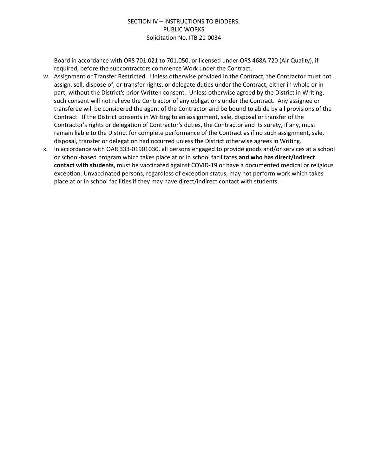Board in accordance with ORS 701.021 to 701.050, or licensed under ORS 468A.720 (Air Quality), if required, before the subcontractors commence Work under the Contract.

- w. Assignment or Transfer Restricted. Unless otherwise provided in the Contract, the Contractor must not assign, sell, dispose of, or transfer rights, or delegate duties under the Contract, either in whole or in part, without the District's prior Written consent. Unless otherwise agreed by the District in Writing, such consent will not relieve the Contractor of any obligations under the Contract. Any assignee or transferee will be considered the agent of the Contractor and be bound to abide by all provisions of the Contract. If the District consents in Writing to an assignment, sale, disposal or transfer of the Contractor's rights or delegation of Contractor's duties, the Contractor and its surety, if any, must remain liable to the District for complete performance of the Contract as if no such assignment, sale, disposal, transfer or delegation had occurred unless the District otherwise agrees in Writing.
- x. In accordance with OAR 333-01901030, all persons engaged to provide goods and/or services at a school or school-based program which takes place at or in school facilitates **and who has direct/indirect contact with students**, must be vaccinated against COVID-19 or have a documented medical or religious exception. Unvaccinated persons, regardless of exception status, may not perform work which takes place at or in school facilities if they may have direct/indirect contact with students.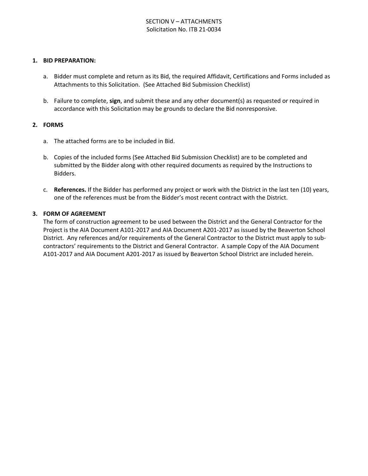#### **1. BID PREPARATION:**

- a. Bidder must complete and return as its Bid, the required Affidavit, Certifications and Forms included as Attachments to this Solicitation. (See Attached Bid Submission Checklist)
- b. Failure to complete, **sign**, and submit these and any other document(s) as requested or required in accordance with this Solicitation may be grounds to declare the Bid nonresponsive.

#### **2. FORMS**

- a. The attached forms are to be included in Bid.
- b. Copies of the included forms (See Attached Bid Submission Checklist) are to be completed and submitted by the Bidder along with other required documents as required by the Instructions to Bidders.
- c. **References.** If the Bidder has performed any project or work with the District in the last ten (10) years, one of the references must be from the Bidder's most recent contract with the District.

#### **3. FORM OF AGREEMENT**

The form of construction agreement to be used between the District and the General Contractor for the Project is the AIA Document A101-2017 and AIA Document A201-2017 as issued by the Beaverton School District. Any references and/or requirements of the General Contractor to the District must apply to subcontractors' requirements to the District and General Contractor. A sample Copy of the AIA Document A101-2017 and AIA Document A201-2017 as issued by Beaverton School District are included herein.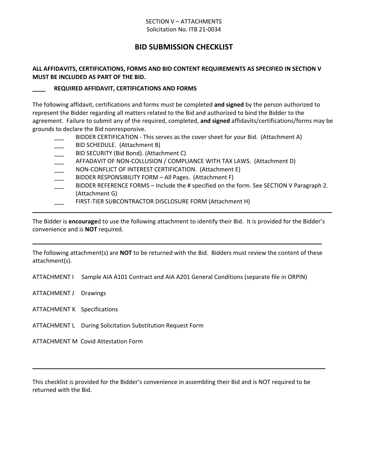#### SECTION V – ATTACHMENTS Solicitation No. ITB 21-0034

# **BID SUBMISSION CHECKLIST**

## **ALL AFFIDAVITS, CERTIFICATIONS, FORMS AND BID CONTENT REQUIREMENTS AS SPECIFIED IN SECTION V MUST BE INCLUDED AS PART OF THE BID.**

#### **\_\_\_\_ REQUIRED AFFIDAVIT, CERTIFICATIONS AND FORMS**

The following affidavit, certifications and forms must be completed **and signed** by the person authorized to represent the Bidder regarding all matters related to the Bid and authorized to bind the Bidder to the agreement. Failure to submit any of the required, completed, **and signed** affidavits/certifications/forms may be grounds to declare the Bid nonresponsive.

- BIDDER CERTIFICATION This serves as the cover sheet for your Bid. (Attachment A)
- BID SCHEDULE. (Attachment B)
- BID SECURITY (Bid Bond). (Attachment C)
- AFFADAVIT OF NON-COLLUSION / COMPLIANCE WITH TAX LAWS. (Attachment D)
- NON-CONFLICT OF INTEREST CERTIFICATION. (Attachment E)
- BIDDER RESPONSIBILITY FORM All Pages. (Attachment F)
- BIDDER REFERENCE FORMS Include the # specified on the form. See SECTION V Paragraph 2. (Attachment G)
- FIRST-TIER SUBCONTRACTOR DISCLOSURE FORM (Attachment H)

The Bidder is **encourage**d to use the following attachment to identify their Bid. It is provided for the Bidder's convenience and is **NOT** required.

**\_\_\_\_\_\_\_\_\_\_\_\_\_\_\_\_\_\_\_\_\_\_\_\_\_\_\_\_\_\_\_\_\_\_\_\_\_\_\_\_\_\_\_\_\_\_\_\_\_\_\_\_\_\_\_\_\_\_\_\_\_\_\_\_\_\_\_\_\_\_\_\_\_\_\_\_\_\_\_\_\_\_\_\_\_\_\_\_\_\_\_**

The following attachment(s) are **NOT** to be returned with the Bid. Bidders must review the content of these attachment(s).

**\_\_\_\_\_\_\_\_\_\_\_\_\_\_\_\_\_\_\_\_\_\_\_\_\_\_\_\_\_\_\_\_\_\_\_\_\_\_\_\_\_\_\_\_\_\_\_\_\_\_\_\_\_\_\_\_\_\_\_\_\_\_\_\_\_\_\_\_\_\_\_\_\_\_\_\_\_\_\_\_\_\_\_\_\_\_\_\_**

ATTACHMENT I Sample AIA A101 Contract and AIA A201 General Conditions (separate file in ORPIN)

- ATTACHMENT J Drawings
- ATTACHMENT K Specifications
- ATTACHMENT L During Solicitation Substitution Request Form

ATTACHMENT M Covid Attestation Form

This checklist is provided for the Bidder's convenience in assembling their Bid and is NOT required to be returned with the Bid.

**\_\_\_\_\_\_\_\_\_\_\_\_\_\_\_\_\_\_\_\_\_\_\_\_\_\_\_\_\_\_\_\_\_\_\_\_\_\_\_\_\_\_\_\_\_\_\_\_\_\_\_\_\_\_\_\_\_\_\_\_\_\_\_\_\_\_\_\_\_\_\_\_\_\_\_\_\_\_\_\_\_\_\_\_\_\_\_\_\_**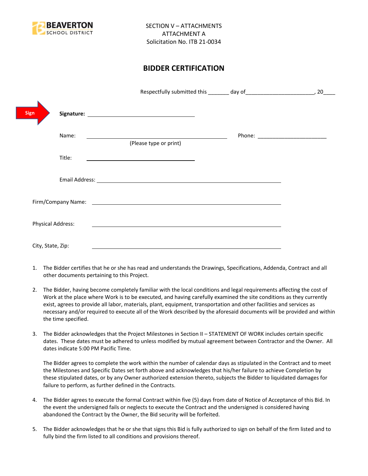

# **BIDDER CERTIFICATION**

|                          |                                                                                                                                                                                                                                      | 20 |
|--------------------------|--------------------------------------------------------------------------------------------------------------------------------------------------------------------------------------------------------------------------------------|----|
| <b>Sign</b>              |                                                                                                                                                                                                                                      |    |
| Name:                    | (Please type or print)                                                                                                                                                                                                               |    |
| Title:                   | the control of the control of the control of the control of the control of                                                                                                                                                           |    |
|                          |                                                                                                                                                                                                                                      |    |
|                          | Firm/Company Name: <u>contract the contract of the contract of the contract of the contract of the contract of the contract of the contract of the contract of the contract of the contract of the contract of the contract of t</u> |    |
| <b>Physical Address:</b> |                                                                                                                                                                                                                                      |    |
| City, State, Zip:        |                                                                                                                                                                                                                                      |    |

- 1. The Bidder certifies that he or she has read and understands the Drawings, Specifications, Addenda, Contract and all other documents pertaining to this Project.
- 2. The Bidder, having become completely familiar with the local conditions and legal requirements affecting the cost of Work at the place where Work is to be executed, and having carefully examined the site conditions as they currently exist, agrees to provide all labor, materials, plant, equipment, transportation and other facilities and services as necessary and/or required to execute all of the Work described by the aforesaid documents will be provided and within the time specified.
- 3. The Bidder acknowledges that the Project Milestones in Section II STATEMENT OF WORK includes certain specific dates. These dates must be adhered to unless modified by mutual agreement between Contractor and the Owner. All dates indicate 5:00 PM Pacific Time.

The Bidder agrees to complete the work within the number of calendar days as stipulated in the Contract and to meet the Milestones and Specific Dates set forth above and acknowledges that his/her failure to achieve Completion by these stipulated dates, or by any Owner authorized extension thereto, subjects the Bidder to liquidated damages for failure to perform, as further defined in the Contracts.

- 4. The Bidder agrees to execute the formal Contract within five (5) days from date of Notice of Acceptance of this Bid. In the event the undersigned fails or neglects to execute the Contract and the undersigned is considered having abandoned the Contract by the Owner, the Bid security will be forfeited.
- 5. The Bidder acknowledges that he or she that signs this Bid is fully authorized to sign on behalf of the firm listed and to fully bind the firm listed to all conditions and provisions thereof.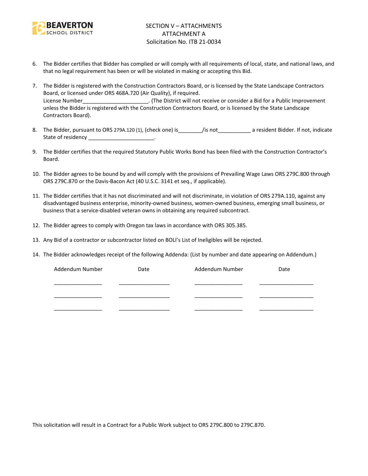

- 6. The Bidder certifies that Bidder has complied or will comply with all requirements of local, state, and national laws, and that no legal requirement has been or will be violated in making or accepting this Bid.
- 7. The Bidder is registered with the Construction Contractors Board, or is licensed by the State Landscape Contractors Board, or licensed under ORS 468A.720 (Air Quality), if required. License Number\_\_\_\_\_\_\_\_\_\_\_\_\_\_\_\_\_\_\_\_\_\_. (The District will not receive or consider a Bid for a Public Improvement unless the Bidder is registered with the Construction Contractors Board, or is licensed by the State Landscape Contractors Board).
- 8. The Bidder, pursuant to ORS 279A.120 (1), (check one) is figure is figure to a resident Bidder. If not, indicate State of residency \_\_\_\_\_\_\_\_\_\_\_\_\_\_\_\_\_\_\_\_\_\_\_\_.
- 9. The Bidder certifies that the required Statutory Public Works Bond has been filed with the Construction Contractor's Board.
- 10. The Bidder agrees to be bound by and will comply with the provisions of Prevailing Wage Laws ORS 279C.800 through ORS 279C.870 or the Davis-Bacon Act (40 U.S.C. 3141 et seq., if applicable).
- 11. The Bidder certifies that it has not discriminated and will not discriminate, in violation of ORS 279A.110, against any disadvantaged business enterprise, minority-owned business, women-owned business, emerging small business, or business that a service-disabled veteran owns in obtaining any required subcontract.
- 12. The Bidder agrees to comply with Oregon tax laws in accordance with ORS 305.385.
- 13. Any Bid of a contractor or subcontractor listed on BOLI's List of Ineligibles will be rejected.
- 14. The Bidder acknowledges receipt of the following Addenda: (List by number and date appearing on Addendum.)

| Addendum Number | Date | Addendum Number | Date |
|-----------------|------|-----------------|------|
|                 |      |                 |      |
|                 |      |                 |      |
|                 |      |                 |      |
|                 |      |                 |      |
|                 |      |                 |      |

This solicitation will result in a Contract for a Public Work subject to ORS 279C.800 to 279C.870.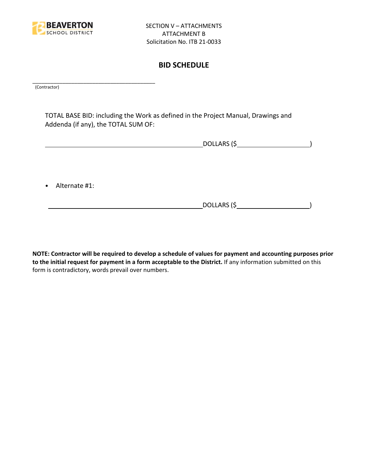

## **BID SCHEDULE**

\_\_\_\_\_\_\_\_\_\_\_\_\_\_\_\_\_\_\_\_\_\_\_\_\_\_\_\_\_\_\_\_\_\_\_\_\_\_\_\_\_ (Contractor)

TOTAL BASE BID: including the Work as defined in the Project Manual, Drawings and Addenda (if any), the TOTAL SUM OF:

DOLLARS (\$ )

• Alternate #1:

DOLLARS (\$ )

**NOTE: Contractor will be required to develop a schedule of values for payment and accounting purposes prior to the initial request for payment in a form acceptable to the District.** If any information submitted on this form is contradictory, words prevail over numbers.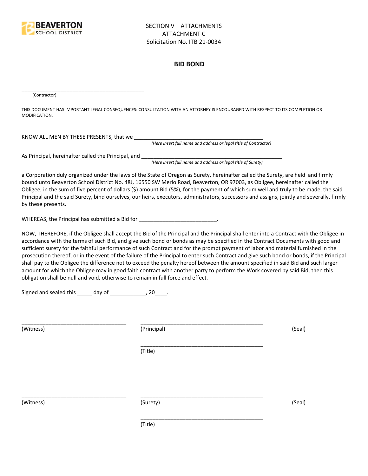

#### **BID BOND**

(Contractor)

THIS DOCUMENT HAS IMPORTANT LEGAL CONSEQUENCES: CONSULTATION WITH AN ATTORNEY IS ENCOURAGED WITH RESPECT TO ITS COMPLETION OR MODIFICATION.

KNOW ALL MEN BY THESE PRESENTS, that we

*(Here insert full name and address or legal title of Contractor)*

As Principal, hereinafter called the Principal, and \_\_\_\_\_\_\_\_\_\_\_\_\_\_\_\_\_\_\_\_\_\_\_\_\_\_\_\_

\_\_\_\_\_\_\_\_\_\_\_\_\_\_\_\_\_\_\_\_\_\_\_\_\_\_\_\_\_\_\_\_\_\_\_\_\_\_\_\_\_

*(Here insert full name and address or legal title of Surety)*

a Corporation duly organized under the laws of the State of Oregon as Surety, hereinafter called the Surety, are held and firmly bound unto Beaverton School District No. 48J, 16550 SW Merlo Road, Beaverton, OR 97003, as Obligee, hereinafter called the Obligee, in the sum of five percent of dollars (\$) amount Bid (5%), for the payment of which sum well and truly to be made, the said Principal and the said Surety, bind ourselves, our heirs, executors, administrators, successors and assigns, jointly and severally, firmly by these presents.

WHEREAS, the Principal has submitted a Bid for \_\_\_\_\_\_\_\_\_\_\_\_\_\_\_\_\_\_\_\_\_\_\_\_\_\_\_\_\_\_\_\_\_

NOW, THEREFORE, if the Obligee shall accept the Bid of the Principal and the Principal shall enter into a Contract with the Obligee in accordance with the terms of such Bid, and give such bond or bonds as may be specified in the Contract Documents with good and sufficient surety for the faithful performance of such Contract and for the prompt payment of labor and material furnished in the prosecution thereof, or in the event of the failure of the Principal to enter such Contract and give such bond or bonds, if the Principal shall pay to the Obligee the difference not to exceed the penalty hereof between the amount specified in said Bid and such larger amount for which the Obligee may in good faith contract with another party to perform the Work covered by said Bid, then this obligation shall be null and void, otherwise to remain in full force and effect.

\_\_\_\_\_\_\_\_\_\_\_\_\_\_\_\_\_\_\_\_\_\_\_\_\_\_\_\_\_\_\_\_\_\_\_\_\_\_\_\_\_

\_\_\_\_\_\_\_\_\_\_\_\_\_\_\_\_\_\_\_\_\_\_\_\_\_\_\_\_\_\_\_\_\_\_\_\_\_\_\_\_\_

Signed and sealed this  $\frac{1}{\sqrt{2}}$  day of  $\frac{1}{\sqrt{2}}$  20  $\frac{1}{\sqrt{2}}$ .

(Witness) (Principal) (Seal)

(Title)

\_\_\_\_\_\_\_\_\_\_\_\_\_\_\_\_\_\_\_\_\_\_\_\_\_\_\_\_\_\_\_\_\_\_\_ \_\_\_\_\_\_\_\_\_\_\_\_\_\_\_\_\_\_\_\_\_\_\_\_\_\_\_\_\_\_\_\_\_\_\_\_\_\_\_\_\_

(Witness) (Surety) (Seal)

\_\_\_\_\_\_\_\_\_\_\_\_\_\_\_\_\_\_\_\_\_\_\_\_\_\_\_\_\_\_\_\_\_\_\_ \_\_\_\_\_\_\_\_\_\_\_\_\_\_\_\_\_\_\_\_\_\_\_\_\_\_\_\_\_\_\_\_\_\_\_\_\_\_\_\_\_

(Title)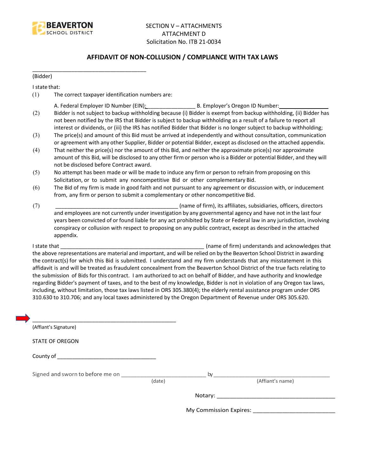

## **AFFIDAVIT OF NON-COLLUSION / COMPLIANCE WITH TAX LAWS**

(Bidder)

I state that:

(1) The correct taxpayer identification numbers are:

\_\_\_\_\_\_\_\_\_\_\_\_\_\_\_\_\_\_\_\_\_\_\_\_\_\_\_\_\_\_\_\_\_\_\_\_\_\_

- A. Federal Employer ID Number (EIN): \_\_\_\_\_\_\_\_\_\_\_\_\_\_\_\_ B. Employer's Oregon ID Number: \_\_\_\_\_\_\_\_\_\_\_\_\_\_\_\_
- (2) Bidder is not subject to backup withholding because (i) Bidder is exempt from backup withholding, (ii) Bidder has not been notified by the IRS that Bidder is subject to backup withholding as a result of a failure to report all interest or dividends, or (iii) the IRS has notified Bidder that Bidder is no longer subject to backup withholding;
- (3) The price(s) and amount of this Bid must be arrived at independently and without consultation, communication or agreement with any other Supplier, Bidder or potential Bidder, except as disclosed on the attached appendix.
- (4) That neither the price(s) nor the amount of this Bid, and neither the approximate price(s) nor approximate amount of this Bid, will be disclosed to any other firm or person who is a Bidder or potential Bidder, and they will not be disclosed before Contract award.
- (5) No attempt has been made or will be made to induce any firm or person to refrain from proposing on this Solicitation, or to submit any noncompetitive Bid or other complementary Bid.
- (6) The Bid of my firm is made in good faith and not pursuant to any agreement or discussion with, or inducement from, any firm or person to submit a complementary or other noncompetitive Bid.
- (7) \_\_\_\_\_\_\_\_\_\_\_\_\_\_\_\_\_\_\_\_\_\_\_\_\_\_\_\_\_\_\_\_\_\_\_\_\_\_\_\_\_ (name of firm), its affiliates, subsidiaries, officers, directors and employees are not currently under investigation by any governmental agency and have not in the last four years been convicted of or found liable for any act prohibited by State or Federal law in any jurisdiction, involving conspiracy or collusion with respect to proposing on any public contract, except as described in the attached appendix.

I state that **I state that**  $\blacksquare$  (name of firm) understands and acknowledges that the above representations are material and important, and will be relied on by the Beaverton School District in awarding the contract(s) for which this Bid is submitted. I understand and my firm understands that any misstatement in this affidavit is and will be treated as fraudulent concealment from the Beaverton School District of the true facts relating to the submission of Bids for this contract. I am authorized to act on behalf of Bidder, and have authority and knowledge regarding Bidder's payment of taxes, and to the best of my knowledge, Bidder is not in violation of any Oregon tax laws, including, without limitation, those tax laws listed in ORS 305.380(4); the elderly rental assistance program under ORS 310.630 to 310.706; and any local taxes administered by the Oregon Department of Revenue under ORS 305.620.

| (Affiant's Signature)            |        |    |                        |
|----------------------------------|--------|----|------------------------|
| <b>STATE OF OREGON</b>           |        |    |                        |
|                                  |        |    |                        |
| Signed and sworn to before me on |        | by |                        |
|                                  | (date) |    | (Affiant's name)       |
|                                  |        |    |                        |
|                                  |        |    | My Commission Expires: |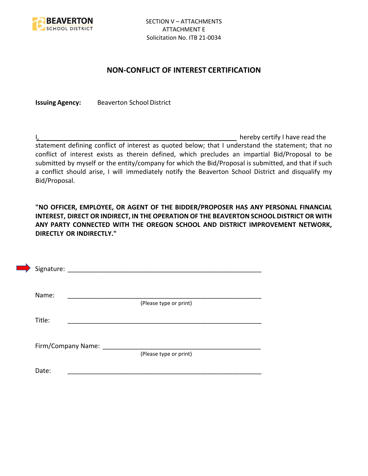

## **NON-CONFLICT OF INTEREST CERTIFICATION**

**Issuing Agency:** Beaverton School District

I, the contract of the contract of the contract of the contract of the hereby certify I have read the statement defining conflict of interest as quoted below; that I understand the statement; that no conflict of interest exists as therein defined, which precludes an impartial Bid/Proposal to be submitted by myself or the entity/company for which the Bid/Proposal is submitted, and that if such a conflict should arise, I will immediately notify the Beaverton School District and disqualify my Bid/Proposal.

**"NO OFFICER, EMPLOYEE, OR AGENT OF THE BIDDER/PROPOSER HAS ANY PERSONAL FINANCIAL INTEREST, DIRECT OR INDIRECT, IN THE OPERATION OF THE BEAVERTON SCHOOL DISTRICT OR WITH ANY PARTY CONNECTED WITH THE OREGON SCHOOL AND DISTRICT IMPROVEMENT NETWORK, DIRECTLY OR INDIRECTLY."**

| Signature: |                    |                        |  |
|------------|--------------------|------------------------|--|
| Name:      |                    |                        |  |
|            |                    | (Please type or print) |  |
| Title:     |                    |                        |  |
|            |                    |                        |  |
|            | Firm/Company Name: | (Please type or print) |  |
|            |                    |                        |  |
| Date:      |                    |                        |  |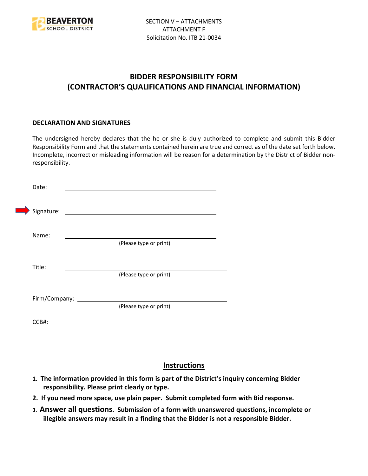

# **BIDDER RESPONSIBILITY FORM (CONTRACTOR'S QUALIFICATIONS AND FINANCIAL INFORMATION)**

#### **DECLARATION AND SIGNATURES**

The undersigned hereby declares that the he or she is duly authorized to complete and submit this Bidder Responsibility Form and that the statements contained herein are true and correct as of the date set forth below. Incomplete, incorrect or misleading information will be reason for a determination by the District of Bidder nonresponsibility.

| Date:      |                      |                                             |  |
|------------|----------------------|---------------------------------------------|--|
| Signature: |                      | <u> 1980 - Jan Barbara Barbara, masa ka</u> |  |
| Name:      |                      | (Please type or print)                      |  |
| Title:     |                      |                                             |  |
|            |                      | (Please type or print)                      |  |
|            | Firm/Company: ______ | (Please type or print)                      |  |
| CCB#:      |                      |                                             |  |

# **Instructions**

- **1. The information provided in this form is part of the District's inquiry concerning Bidder responsibility. Please print clearly or type.**
- **2. If you need more space, use plain paper. Submit completed form with Bid response.**
- **3. Answer all questions. Submission of a form with unanswered questions, incomplete or illegible answers may result in a finding that the Bidder is not a responsible Bidder.**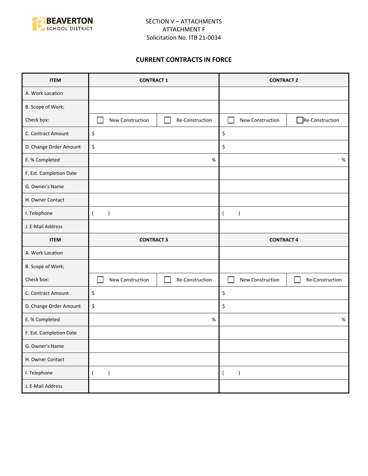

## **CURRENT CONTRACTS IN FORCE**

| <b>ITEM</b>             | <b>CONTRACT 1</b>                   | <b>CONTRACT 2</b>                   |  |
|-------------------------|-------------------------------------|-------------------------------------|--|
| A. Work Location        |                                     |                                     |  |
| B. Scope of Work;       |                                     |                                     |  |
| Check box:              | New Construction<br>Re-Construction | Re-Construction<br>New Construction |  |
| C. Contract Amount      | \$                                  | \$                                  |  |
| D. Change Order Amount  | \$                                  | \$                                  |  |
| E. % Completed          | $\%$                                | $\%$                                |  |
| F. Est. Completion Date |                                     |                                     |  |
| G. Owner's Name         |                                     |                                     |  |
| H. Owner Contact        |                                     |                                     |  |
| I. Telephone            | $\overline{(}$<br>$\lambda$         | $\overline{ }$<br>$\lambda$         |  |
| J. E-Mail Address       |                                     |                                     |  |
|                         |                                     | <b>CONTRACT 4</b>                   |  |
| <b>ITEM</b>             | <b>CONTRACT 3</b>                   |                                     |  |
| A. Work Location        |                                     |                                     |  |
| B. Scope of Work;       |                                     |                                     |  |
| Check box:              | New Construction<br>Re-Construction | New Construction<br>Re-Construction |  |
| C. Contract Amount      | \$                                  | \$                                  |  |
| D. Change Order Amount  | \$                                  | \$                                  |  |
| E. % Completed          | %                                   | %                                   |  |
| F. Est. Completion Date |                                     |                                     |  |
| G. Owner's Name         |                                     |                                     |  |
| H. Owner Contact        |                                     |                                     |  |
| I. Telephone            | $\overline{(\ }$<br>$\lambda$       | $\overline{(\ }$<br>$\lambda$       |  |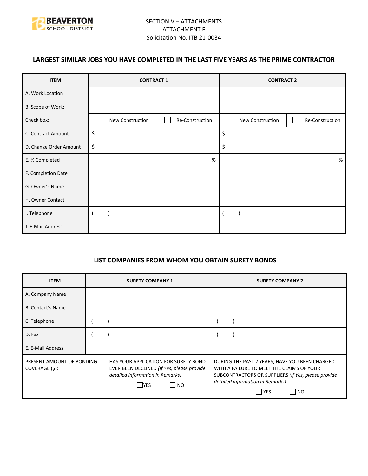

## **LARGEST SIMILAR JOBS YOU HAVE COMPLETED IN THE LAST FIVE YEARS AS THE PRIME CONTRACTOR**

| <b>ITEM</b>            | <b>CONTRACT 1</b> |                 | <b>CONTRACT 2</b> |                 |
|------------------------|-------------------|-----------------|-------------------|-----------------|
| A. Work Location       |                   |                 |                   |                 |
| B. Scope of Work;      |                   |                 |                   |                 |
| Check box:             | New Construction  | Re-Construction | New Construction  | Re-Construction |
| C. Contract Amount     | \$                |                 | \$                |                 |
| D. Change Order Amount | \$                |                 | \$                |                 |
| E. % Completed         |                   | %               |                   | %               |
| F. Completion Date     |                   |                 |                   |                 |
| G. Owner's Name        |                   |                 |                   |                 |
| H. Owner Contact       |                   |                 |                   |                 |
| I. Telephone           |                   |                 |                   |                 |
| J. E-Mail Address      |                   |                 |                   |                 |

#### **LIST COMPANIES FROM WHOM YOU OBTAIN SURETY BONDS**

| <b>ITEM</b>                                 | <b>SURETY COMPANY 1</b>                                                                                                                       | <b>SURETY COMPANY 2</b>                                                                                                                                                                                           |
|---------------------------------------------|-----------------------------------------------------------------------------------------------------------------------------------------------|-------------------------------------------------------------------------------------------------------------------------------------------------------------------------------------------------------------------|
| A. Company Name                             |                                                                                                                                               |                                                                                                                                                                                                                   |
| <b>B. Contact's Name</b>                    |                                                                                                                                               |                                                                                                                                                                                                                   |
| C. Telephone                                |                                                                                                                                               |                                                                                                                                                                                                                   |
| D. Fax                                      |                                                                                                                                               |                                                                                                                                                                                                                   |
| E. E-Mail Address                           |                                                                                                                                               |                                                                                                                                                                                                                   |
| PRESENT AMOUNT OF BONDING<br>COVERAGE (\$): | HAS YOUR APPLICATION FOR SURETY BOND<br>EVER BEEN DECLINED (If Yes, please provide<br>detailed information in Remarks)<br>  NO<br><b>IYES</b> | DURING THE PAST 2 YEARS, HAVE YOU BEEN CHARGED<br>WITH A FAILURE TO MEET THE CLAIMS OF YOUR<br>SUBCONTRACTORS OR SUPPLIERS (If Yes, please provide<br>detailed information in Remarks)<br>  YES<br>N <sub>O</sub> |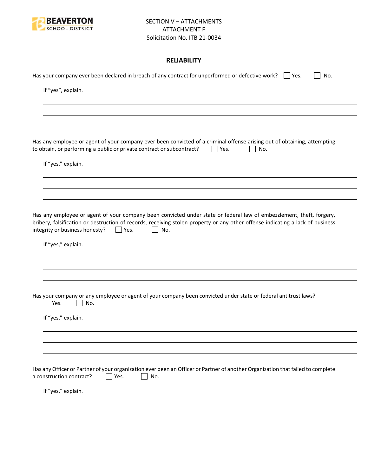

## **RELIABILITY**

| Has your company ever been declared in breach of any contract for unperformed or defective work? $\Box$ Yes.<br>No.                                                                                                                                                                                     |
|---------------------------------------------------------------------------------------------------------------------------------------------------------------------------------------------------------------------------------------------------------------------------------------------------------|
| If "yes", explain.                                                                                                                                                                                                                                                                                      |
|                                                                                                                                                                                                                                                                                                         |
|                                                                                                                                                                                                                                                                                                         |
| Has any employee or agent of your company ever been convicted of a criminal offense arising out of obtaining, attempting<br>to obtain, or performing a public or private contract or subcontract?<br>Yes.<br>No.                                                                                        |
| If "yes," explain.                                                                                                                                                                                                                                                                                      |
|                                                                                                                                                                                                                                                                                                         |
| Has any employee or agent of your company been convicted under state or federal law of embezzlement, theft, forgery,<br>bribery, falsification or destruction of records, receiving stolen property or any other offense indicating a lack of business<br>integrity or business honesty?<br>Yes.<br>No. |
| If "yes," explain.                                                                                                                                                                                                                                                                                      |
|                                                                                                                                                                                                                                                                                                         |
| Has your company or any employee or agent of your company been convicted under state or federal antitrust laws?<br>Yes.<br>No.                                                                                                                                                                          |
| If "yes," explain.                                                                                                                                                                                                                                                                                      |
|                                                                                                                                                                                                                                                                                                         |
|                                                                                                                                                                                                                                                                                                         |
| Has any Officer or Partner of your organization ever been an Officer or Partner of another Organization that failed to complete<br>a construction contract?<br>Yes.<br>No.                                                                                                                              |
| If "yes," explain.                                                                                                                                                                                                                                                                                      |
|                                                                                                                                                                                                                                                                                                         |
|                                                                                                                                                                                                                                                                                                         |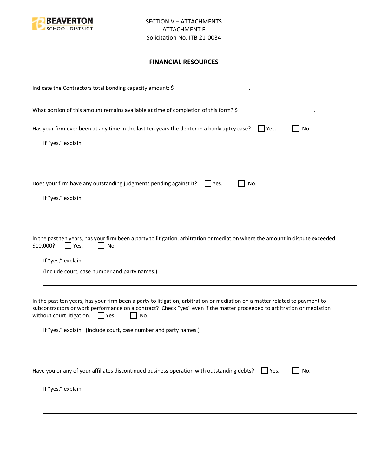

## **FINANCIAL RESOURCES**

| No.<br>If "yes," explain.<br>No.<br>If "yes," explain.<br>Yes.<br>No.<br>If "yes," explain.<br>No.<br>$\mathbf{1}$<br>If "yes," explain. (Include court, case number and party names.)<br>No.<br>Yes. | Indicate the Contractors total bonding capacity amount: \$                                                                                                                                                                                                                                     |
|-------------------------------------------------------------------------------------------------------------------------------------------------------------------------------------------------------|------------------------------------------------------------------------------------------------------------------------------------------------------------------------------------------------------------------------------------------------------------------------------------------------|
|                                                                                                                                                                                                       | What portion of this amount remains available at time of completion of this form? \$                                                                                                                                                                                                           |
|                                                                                                                                                                                                       | Has your firm ever been at any time in the last ten years the debtor in a bankruptcy case? $\Box$ Yes.                                                                                                                                                                                         |
|                                                                                                                                                                                                       |                                                                                                                                                                                                                                                                                                |
|                                                                                                                                                                                                       | Does your firm have any outstanding judgments pending against it? $\Box$ Yes.                                                                                                                                                                                                                  |
|                                                                                                                                                                                                       |                                                                                                                                                                                                                                                                                                |
|                                                                                                                                                                                                       | In the past ten years, has your firm been a party to litigation, arbitration or mediation where the amount in dispute exceeded<br>\$10,000?                                                                                                                                                    |
|                                                                                                                                                                                                       |                                                                                                                                                                                                                                                                                                |
|                                                                                                                                                                                                       |                                                                                                                                                                                                                                                                                                |
|                                                                                                                                                                                                       | In the past ten years, has your firm been a party to litigation, arbitration or mediation on a matter related to payment to<br>subcontractors or work performance on a contract? Check "yes" even if the matter proceeded to arbitration or mediation<br>without court litigation. $\Box$ Yes. |
|                                                                                                                                                                                                       |                                                                                                                                                                                                                                                                                                |
|                                                                                                                                                                                                       |                                                                                                                                                                                                                                                                                                |
|                                                                                                                                                                                                       | Have you or any of your affiliates discontinued business operation with outstanding debts?                                                                                                                                                                                                     |
| If "yes," explain.                                                                                                                                                                                    |                                                                                                                                                                                                                                                                                                |
|                                                                                                                                                                                                       |                                                                                                                                                                                                                                                                                                |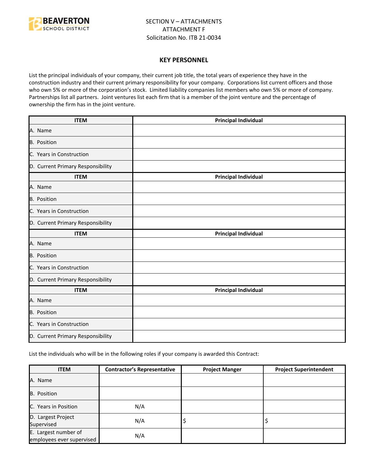

#### **KEY PERSONNEL**

List the principal individuals of your company, their current job title, the total years of experience they have in the construction industry and their current primary responsibility for your company. Corporations list current officers and those who own 5% or more of the corporation's stock. Limited liability companies list members who own 5% or more of company. Partnerships list all partners. Joint ventures list each firm that is a member of the joint venture and the percentage of ownership the firm has in the joint venture.

| <b>ITEM</b>                       | <b>Principal Individual</b> |
|-----------------------------------|-----------------------------|
| A. Name                           |                             |
| B. Position                       |                             |
| C. Years in Construction          |                             |
| D. Current Primary Responsibility |                             |
| <b>ITEM</b>                       | <b>Principal Individual</b> |
| A. Name                           |                             |
| B. Position                       |                             |
| C. Years in Construction          |                             |
| D. Current Primary Responsibility |                             |
| <b>ITEM</b>                       | <b>Principal Individual</b> |
| A. Name                           |                             |
| <b>B.</b> Position                |                             |
| C. Years in Construction          |                             |
| D. Current Primary Responsibility |                             |
| <b>ITEM</b>                       | <b>Principal Individual</b> |
| A. Name                           |                             |
| B. Position                       |                             |
| C. Years in Construction          |                             |
| D. Current Primary Responsibility |                             |

List the individuals who will be in the following roles if your company is awarded this Contract:

| <b>ITEM</b>                                       | <b>Contractor's Representative</b> | <b>Project Manger</b> | <b>Project Superintendent</b> |
|---------------------------------------------------|------------------------------------|-----------------------|-------------------------------|
| A. Name                                           |                                    |                       |                               |
| <b>B.</b> Position                                |                                    |                       |                               |
| C. Years in Position                              | N/A                                |                       |                               |
| D. Largest Project<br>Supervised                  | N/A                                | Ş                     |                               |
| E. Largest number of<br>employees ever supervised | N/A                                |                       |                               |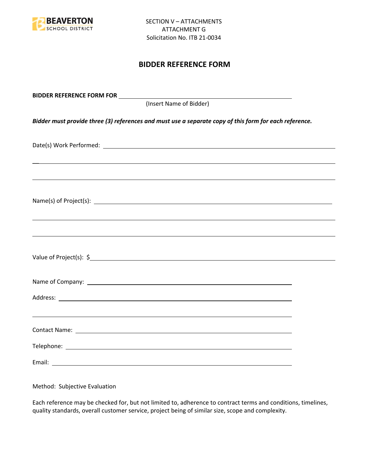

## **BIDDER REFERENCE FORM**

| BIDDER REFERENCE FORM FOR _________                                                                                                                                                                                                  |  |
|--------------------------------------------------------------------------------------------------------------------------------------------------------------------------------------------------------------------------------------|--|
| (Insert Name of Bidder)                                                                                                                                                                                                              |  |
| Bidder must provide three (3) references and must use a separate copy of this form for each reference.                                                                                                                               |  |
|                                                                                                                                                                                                                                      |  |
|                                                                                                                                                                                                                                      |  |
| Name(s) of Project(s): $\sqrt{a}$                                                                                                                                                                                                    |  |
|                                                                                                                                                                                                                                      |  |
|                                                                                                                                                                                                                                      |  |
| Name of Company: <u>contract the community of the contract of the contract of the contract of the contract of the contract of the contract of the contract of the contract of the contract of the contract of the contract of th</u> |  |
|                                                                                                                                                                                                                                      |  |
| ,我们也不会有一个人的人,我们也不会有一个人的人,我们也不会有一个人的人。""我们,我们也不会有一个人的人,我们也不会有一个人的人,我们也不会有一个人的人。""我                                                                                                                                                    |  |
|                                                                                                                                                                                                                                      |  |
|                                                                                                                                                                                                                                      |  |

Method: Subjective Evaluation

Each reference may be checked for, but not limited to, adherence to contract terms and conditions, timelines, quality standards, overall customer service, project being of similar size, scope and complexity.